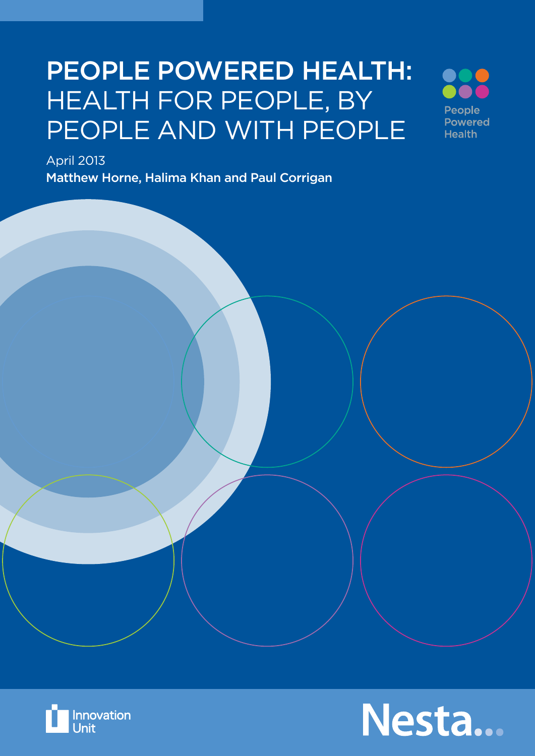## PEOPLE POWERED HEALTH: HEALTH FOR PEOPLE, BY PEOPLE AND WITH PEOPLE

People **Powered Health** 

April 2013

Matthew Horne, Halima Khan and Paul Corrigan



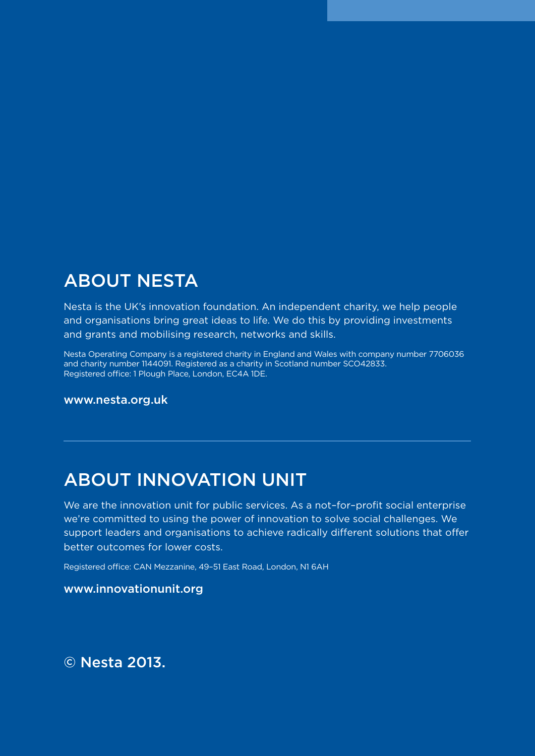### ABOUT NESTA

Nesta is the UK's innovation foundation. An independent charity, we help people and organisations bring great ideas to life. We do this by providing investments and grants and mobilising research, networks and skills.

Nesta Operating Company is a registered charity in England and Wales with company number 7706036 and charity number 1144091. Registered as a charity in Scotland number SCO42833. Registered office: 1 Plough Place, London, EC4A 1DE.

www.nesta.org.uk

### ABOUT INNOVATION UNIT

We are the innovation unit for public services. As a not-for-profit social enterprise we're committed to using the power of innovation to solve social challenges. We support leaders and organisations to achieve radically different solutions that offer better outcomes for lower costs.

Registered office: CAN Mezzanine, 49–51 East Road, London, N1 6AH

#### www.innovationunit.org

© Nesta 2013.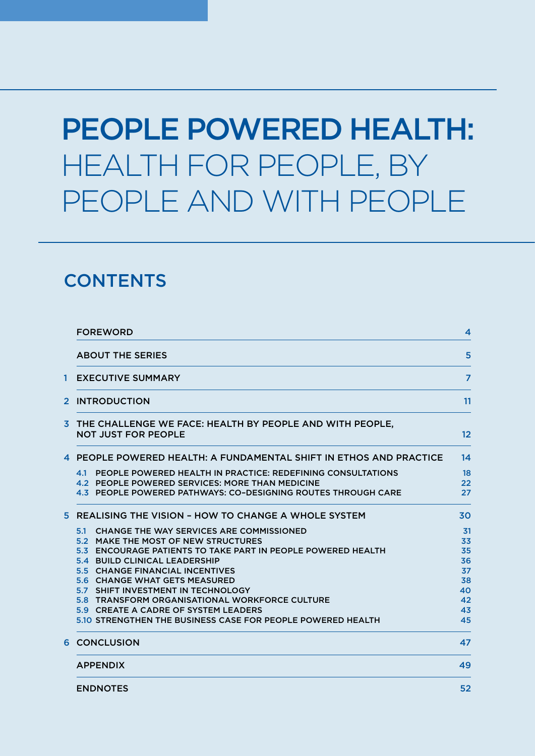# PEOPLE POWERED HEALTH: HEALTH FOR PEOPLE, BY PEOPLE AND WITH PEOPLE

### **CONTENTS**

|   | <b>FOREWORD</b>                                                                                                                                                                                                                                                                                                                                                                                                                                                                 | 4                                                        |  |
|---|---------------------------------------------------------------------------------------------------------------------------------------------------------------------------------------------------------------------------------------------------------------------------------------------------------------------------------------------------------------------------------------------------------------------------------------------------------------------------------|----------------------------------------------------------|--|
|   | <b>ABOUT THE SERIES</b>                                                                                                                                                                                                                                                                                                                                                                                                                                                         | 5                                                        |  |
| 1 | <b>EXECUTIVE SUMMARY</b>                                                                                                                                                                                                                                                                                                                                                                                                                                                        |                                                          |  |
|   | 2 INTRODUCTION                                                                                                                                                                                                                                                                                                                                                                                                                                                                  |                                                          |  |
|   | 3 THE CHALLENGE WE FACE: HEALTH BY PEOPLE AND WITH PEOPLE,<br><b>NOT JUST FOR PEOPLE</b>                                                                                                                                                                                                                                                                                                                                                                                        | $12 \overline{ }$                                        |  |
|   | 4 PEOPLE POWERED HEALTH: A FUNDAMENTAL SHIFT IN ETHOS AND PRACTICE                                                                                                                                                                                                                                                                                                                                                                                                              | 14                                                       |  |
|   | 4.1 PEOPLE POWERED HEALTH IN PRACTICE: REDEFINING CONSULTATIONS<br>4.2 PEOPLE POWERED SERVICES: MORE THAN MEDICINE<br>4.3 PEOPLE POWERED PATHWAYS: CO-DESIGNING ROUTES THROUGH CARE                                                                                                                                                                                                                                                                                             | 18<br>22<br>27                                           |  |
|   | 5 REALISING THE VISION - HOW TO CHANGE A WHOLE SYSTEM                                                                                                                                                                                                                                                                                                                                                                                                                           | 30                                                       |  |
|   | <b>CHANGE THE WAY SERVICES ARE COMMISSIONED</b><br>5.1<br>5.2 MAKE THE MOST OF NEW STRUCTURES<br>5.3 ENCOURAGE PATIENTS TO TAKE PART IN PEOPLE POWERED HEALTH<br>5.4 BUILD CLINICAL LEADERSHIP<br>5.5 CHANGE FINANCIAL INCENTIVES<br><b>5.6 CHANGE WHAT GETS MEASURED</b><br>5.7 SHIFT INVESTMENT IN TECHNOLOGY<br><b>5.8 TRANSFORM ORGANISATIONAL WORKFORCE CULTURE</b><br>5.9 CREATE A CADRE OF SYSTEM LEADERS<br>5.10 STRENGTHEN THE BUSINESS CASE FOR PEOPLE POWERED HEALTH | 31<br>33<br>35<br>36<br>37<br>38<br>40<br>42<br>43<br>45 |  |
|   | <b>6 CONCLUSION</b>                                                                                                                                                                                                                                                                                                                                                                                                                                                             | 47                                                       |  |
|   | <b>APPENDIX</b>                                                                                                                                                                                                                                                                                                                                                                                                                                                                 | 49                                                       |  |
|   | <b>ENDNOTES</b>                                                                                                                                                                                                                                                                                                                                                                                                                                                                 | 52                                                       |  |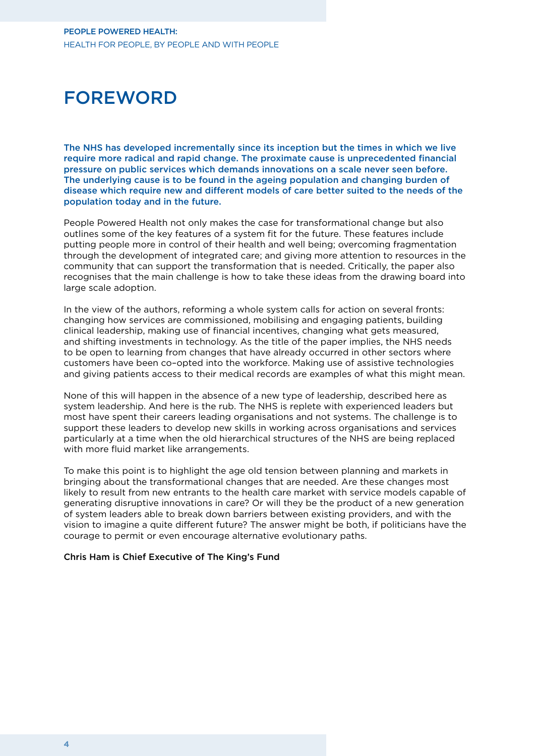### **FOREWORD**

The NHS has developed incrementally since its inception but the times in which we live require more radical and rapid change. The proximate cause is unprecedented financial pressure on public services which demands innovations on a scale never seen before. The underlying cause is to be found in the ageing population and changing burden of disease which require new and different models of care better suited to the needs of the population today and in the future.

People Powered Health not only makes the case for transformational change but also outlines some of the key features of a system fit for the future. These features include putting people more in control of their health and well being; overcoming fragmentation through the development of integrated care; and giving more attention to resources in the community that can support the transformation that is needed. Critically, the paper also recognises that the main challenge is how to take these ideas from the drawing board into large scale adoption.

In the view of the authors, reforming a whole system calls for action on several fronts: changing how services are commissioned, mobilising and engaging patients, building clinical leadership, making use of financial incentives, changing what gets measured, and shifting investments in technology. As the title of the paper implies, the NHS needs to be open to learning from changes that have already occurred in other sectors where customers have been co–opted into the workforce. Making use of assistive technologies and giving patients access to their medical records are examples of what this might mean.

None of this will happen in the absence of a new type of leadership, described here as system leadership. And here is the rub. The NHS is replete with experienced leaders but most have spent their careers leading organisations and not systems. The challenge is to support these leaders to develop new skills in working across organisations and services particularly at a time when the old hierarchical structures of the NHS are being replaced with more fluid market like arrangements.

To make this point is to highlight the age old tension between planning and markets in bringing about the transformational changes that are needed. Are these changes most likely to result from new entrants to the health care market with service models capable of generating disruptive innovations in care? Or will they be the product of a new generation of system leaders able to break down barriers between existing providers, and with the vision to imagine a quite different future? The answer might be both, if politicians have the courage to permit or even encourage alternative evolutionary paths.

#### Chris Ham is Chief Executive of The King's Fund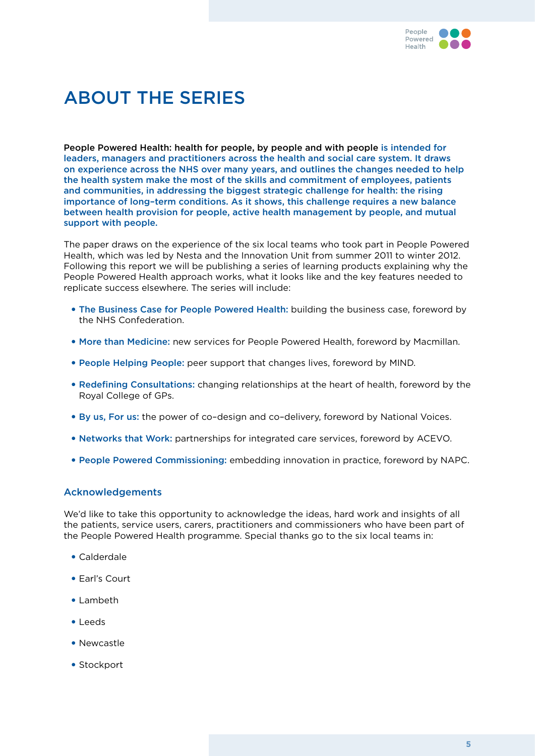

### About the series

People Powered Health: health for people, by people and with people is intended for leaders, managers and practitioners across the health and social care system. It draws on experience across the NHS over many years, and outlines the changes needed to help the health system make the most of the skills and commitment of employees, patients and communities, in addressing the biggest strategic challenge for health: the rising importance of long–term conditions. As it shows, this challenge requires a new balance between health provision for people, active health management by people, and mutual support with people.

The paper draws on the experience of the six local teams who took part in People Powered Health, which was led by Nesta and the Innovation Unit from summer 2011 to winter 2012. Following this report we will be publishing a series of learning products explaining why the People Powered Health approach works, what it looks like and the key features needed to replicate success elsewhere. The series will include:

- The Business Case for People Powered Health: building the business case, foreword by the NHS Confederation.
- More than Medicine: new services for People Powered Health, foreword by Macmillan.
- People Helping People: peer support that changes lives, foreword by MIND.
- Redefining Consultations: changing relationships at the heart of health, foreword by the Royal College of GPs.
- By us, For us: the power of co-design and co-delivery, foreword by National Voices.
- Networks that Work: partnerships for integrated care services, foreword by ACEVO.
- • People Powered Commissioning: embedding innovation in practice, foreword by NAPC.

#### Acknowledgements

We'd like to take this opportunity to acknowledge the ideas, hard work and insights of all the patients, service users, carers, practitioners and commissioners who have been part of the People Powered Health programme. Special thanks go to the six local teams in:

- • Calderdale
- • Earl's Court
- • Lambeth
- • Leeds
- Newcastle
- Stockport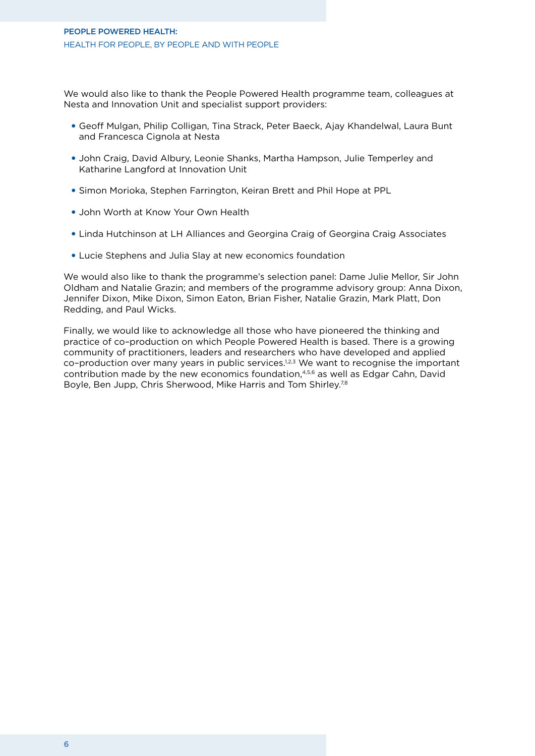We would also like to thank the People Powered Health programme team, colleagues at Nesta and Innovation Unit and specialist support providers:

- • Geoff Mulgan, Philip Colligan, Tina Strack, Peter Baeck, Ajay Khandelwal, Laura Bunt and Francesca Cignola at Nesta
- John Craig, David Albury, Leonie Shanks, Martha Hampson, Julie Temperley and Katharine Langford at Innovation Unit
- Simon Morioka, Stephen Farrington, Keiran Brett and Phil Hope at PPL
- John Worth at Know Your Own Health
- Linda Hutchinson at LH Alliances and Georgina Craig of Georgina Craig Associates
- Lucie Stephens and Julia Slay at new economics foundation

We would also like to thank the programme's selection panel: Dame Julie Mellor, Sir John Oldham and Natalie Grazin; and members of the programme advisory group: Anna Dixon, Jennifer Dixon, Mike Dixon, Simon Eaton, Brian Fisher, Natalie Grazin, Mark Platt, Don Redding, and Paul Wicks.

Finally, we would like to acknowledge all those who have pioneered the thinking and practice of co–production on which People Powered Health is based. There is a growing community of practitioners, leaders and researchers who have developed and applied co-production over many years in public services.<sup>1,2,3</sup> We want to recognise the important contribution made by the new economics foundation,4,5,6 as well as Edgar Cahn, David Boyle, Ben Jupp, Chris Sherwood, Mike Harris and Tom Shirley.7,8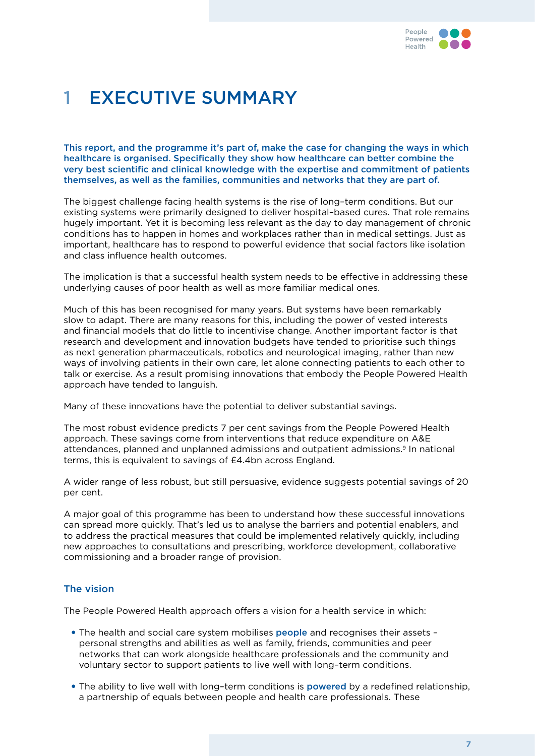

### 1 Executive summary

This report, and the programme it's part of, make the case for changing the ways in which healthcare is organised. Specifically they show how healthcare can better combine the very best scientific and clinical knowledge with the expertise and commitment of patients themselves, as well as the families, communities and networks that they are part of.

The biggest challenge facing health systems is the rise of long–term conditions. But our existing systems were primarily designed to deliver hospital–based cures. That role remains hugely important. Yet it is becoming less relevant as the day to day management of chronic conditions has to happen in homes and workplaces rather than in medical settings. Just as important, healthcare has to respond to powerful evidence that social factors like isolation and class influence health outcomes.

The implication is that a successful health system needs to be effective in addressing these underlying causes of poor health as well as more familiar medical ones.

Much of this has been recognised for many years. But systems have been remarkably slow to adapt. There are many reasons for this, including the power of vested interests and financial models that do little to incentivise change. Another important factor is that research and development and innovation budgets have tended to prioritise such things as next generation pharmaceuticals, robotics and neurological imaging, rather than new ways of involving patients in their own care, let alone connecting patients to each other to talk or exercise. As a result promising innovations that embody the People Powered Health approach have tended to languish.

Many of these innovations have the potential to deliver substantial savings.

The most robust evidence predicts 7 per cent savings from the People Powered Health approach. These savings come from interventions that reduce expenditure on A&E attendances, planned and unplanned admissions and outpatient admissions.9 In national terms, this is equivalent to savings of £4.4bn across England.

A wider range of less robust, but still persuasive, evidence suggests potential savings of 20 per cent.

A major goal of this programme has been to understand how these successful innovations can spread more quickly. That's led us to analyse the barriers and potential enablers, and to address the practical measures that could be implemented relatively quickly, including new approaches to consultations and prescribing, workforce development, collaborative commissioning and a broader range of provision.

#### The vision

The People Powered Health approach offers a vision for a health service in which:

- The health and social care system mobilises people and recognises their assets personal strengths and abilities as well as family, friends, communities and peer networks that can work alongside healthcare professionals and the community and voluntary sector to support patients to live well with long–term conditions.
- The ability to live well with long-term conditions is powered by a redefined relationship, a partnership of equals between people and health care professionals. These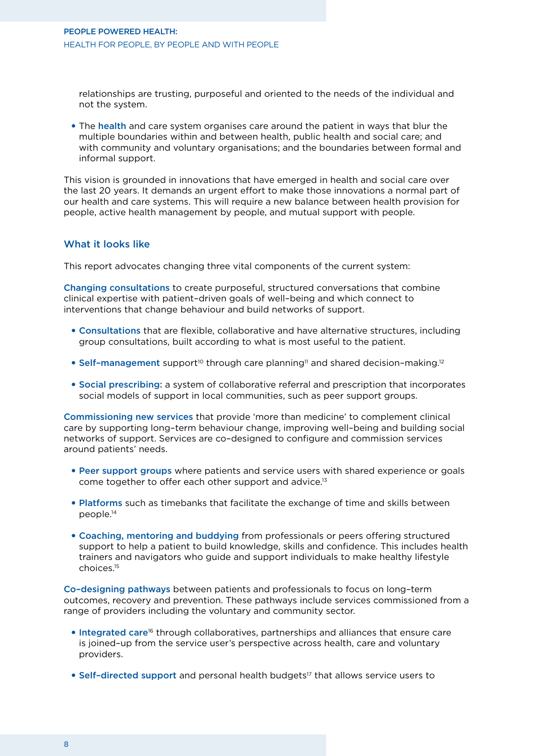relationships are trusting, purposeful and oriented to the needs of the individual and not the system.

• The health and care system organises care around the patient in ways that blur the multiple boundaries within and between health, public health and social care; and with community and voluntary organisations; and the boundaries between formal and informal support.

This vision is grounded in innovations that have emerged in health and social care over the last 20 years. It demands an urgent effort to make those innovations a normal part of our health and care systems. This will require a new balance between health provision for people, active health management by people, and mutual support with people.

#### What it looks like

This report advocates changing three vital components of the current system:

Changing consultations to create purposeful, structured conversations that combine clinical expertise with patient–driven goals of well–being and which connect to interventions that change behaviour and build networks of support.

- • Consultations that are flexible, collaborative and have alternative structures, including group consultations, built according to what is most useful to the patient.
- Self-management support<sup>10</sup> through care planning<sup>11</sup> and shared decision-making.<sup>12</sup>
- • Social prescribing: a system of collaborative referral and prescription that incorporates social models of support in local communities, such as peer support groups.

Commissioning new services that provide 'more than medicine' to complement clinical care by supporting long–term behaviour change, improving well–being and building social networks of support. Services are co–designed to configure and commission services around patients' needs.

- Peer support groups where patients and service users with shared experience or goals come together to offer each other support and advice.<sup>13</sup>
- Platforms such as timebanks that facilitate the exchange of time and skills between people.14
- • Coaching, mentoring and buddying from professionals or peers offering structured support to help a patient to build knowledge, skills and confidence. This includes health trainers and navigators who guide and support individuals to make healthy lifestyle choices.15

Co–designing pathways between patients and professionals to focus on long–term outcomes, recovery and prevention. These pathways include services commissioned from a range of providers including the voluntary and community sector.

- Integrated care<sup>16</sup> through collaboratives, partnerships and alliances that ensure care is joined–up from the service user's perspective across health, care and voluntary providers.
- Self-directed support and personal health budgets<sup>17</sup> that allows service users to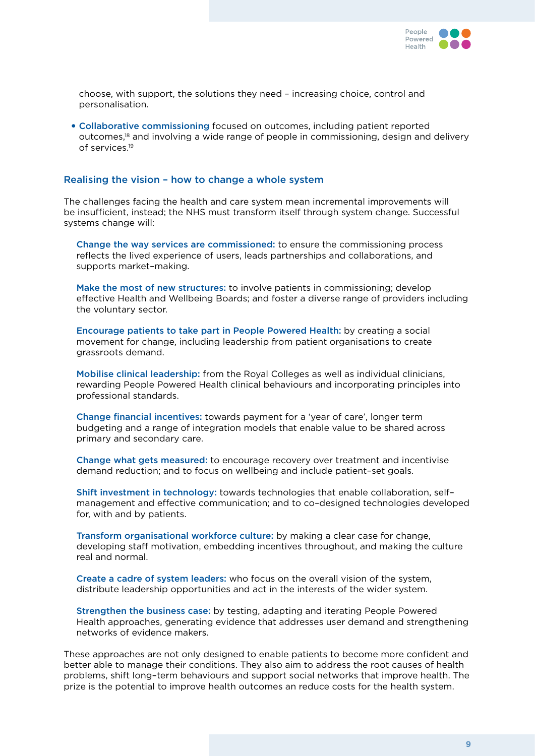

choose, with support, the solutions they need – increasing choice, control and personalisation.

• Collaborative commissioning focused on outcomes, including patient reported outcomes,18 and involving a wide range of people in commissioning, design and delivery of services.19

#### Realising the vision – how to change a whole system

The challenges facing the health and care system mean incremental improvements will be insufficient, instead; the NHS must transform itself through system change. Successful systems change will:

Change the way services are commissioned: to ensure the commissioning process reflects the lived experience of users, leads partnerships and collaborations, and supports market–making.

Make the most of new structures: to involve patients in commissioning; develop effective Health and Wellbeing Boards; and foster a diverse range of providers including the voluntary sector.

Encourage patients to take part in People Powered Health: by creating a social movement for change, including leadership from patient organisations to create grassroots demand.

Mobilise clinical leadership: from the Royal Colleges as well as individual clinicians, rewarding People Powered Health clinical behaviours and incorporating principles into professional standards.

Change financial incentives: towards payment for a 'year of care', longer term budgeting and a range of integration models that enable value to be shared across primary and secondary care.

Change what gets measured: to encourage recovery over treatment and incentivise demand reduction; and to focus on wellbeing and include patient–set goals.

Shift investment in technology: towards technologies that enable collaboration, self– management and effective communication; and to co–designed technologies developed for, with and by patients.

Transform organisational workforce culture: by making a clear case for change, developing staff motivation, embedding incentives throughout, and making the culture real and normal.

Create a cadre of system leaders: who focus on the overall vision of the system, distribute leadership opportunities and act in the interests of the wider system.

Strengthen the business case: by testing, adapting and iterating People Powered Health approaches, generating evidence that addresses user demand and strengthening networks of evidence makers.

These approaches are not only designed to enable patients to become more confident and better able to manage their conditions. They also aim to address the root causes of health problems, shift long–term behaviours and support social networks that improve health. The prize is the potential to improve health outcomes an reduce costs for the health system.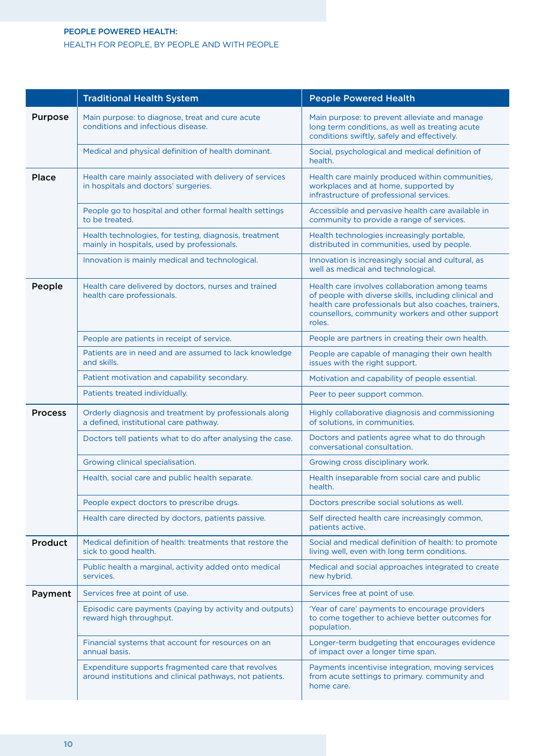#### People Powered Health: Health for people, by people and with people

|                | <b>Traditional Health System</b>                                                                               | <b>People Powered Health</b>                                                                                                                                                                                                   |
|----------------|----------------------------------------------------------------------------------------------------------------|--------------------------------------------------------------------------------------------------------------------------------------------------------------------------------------------------------------------------------|
| <b>Purpose</b> | Main purpose: to diagnose, treat and cure acute<br>conditions and infectious disease.                          | Main purpose: to prevent alleviate and manage<br>long term conditions, as well as treating acute<br>conditions swiftly, safely and effectively.                                                                                |
|                | Medical and physical definition of health dominant.                                                            | Social, psychological and medical definition of<br>health.                                                                                                                                                                     |
| <b>Place</b>   | Health care mainly associated with delivery of services<br>in hospitals and doctors' surgeries.                | Health care mainly produced within communities,<br>workplaces and at home, supported by<br>infrastructure of professional services.                                                                                            |
|                | People go to hospital and other formal health settings<br>to be treated.                                       | Accessible and pervasive health care available in<br>community to provide a range of services.                                                                                                                                 |
|                | Health technologies, for testing, diagnosis, treatment<br>mainly in hospitals, used by professionals.          | Health technologies increasingly portable,<br>distributed in communities, used by people.                                                                                                                                      |
|                | Innovation is mainly medical and technological.                                                                | Innovation is increasingly social and cultural, as<br>well as medical and technological.                                                                                                                                       |
| People         | Health care delivered by doctors, nurses and trained<br>health care professionals.                             | Health care involves collaboration among teams<br>of people with diverse skills, including clinical and<br>health care professionals but also coaches, trainers,<br>counsellors, community workers and other support<br>roles. |
|                | People are patients in receipt of service.                                                                     | People are partners in creating their own health.                                                                                                                                                                              |
|                | Patients are in need and are assumed to lack knowledge<br>and skills.                                          | People are capable of managing their own health<br>issues with the right support.                                                                                                                                              |
|                | Patient motivation and capability secondary.                                                                   | Motivation and capability of people essential.                                                                                                                                                                                 |
|                | Patients treated individually.                                                                                 | Peer to peer support common.                                                                                                                                                                                                   |
| <b>Process</b> | Orderly diagnosis and treatment by professionals along<br>a defined, institutional care pathway.               | Highly collaborative diagnosis and commissioning<br>of solutions, in communities.                                                                                                                                              |
|                | Doctors tell patients what to do after analysing the case.                                                     | Doctors and patients agree what to do through<br>conversational consultation.                                                                                                                                                  |
|                | Growing clinical specialisation.                                                                               | Growing cross disciplinary work.                                                                                                                                                                                               |
|                | Health, social care and public health separate.                                                                | Health inseparable from social care and public<br>health.                                                                                                                                                                      |
|                | People expect doctors to prescribe drugs.                                                                      | Doctors prescribe social solutions as well.                                                                                                                                                                                    |
|                | Health care directed by doctors, patients passive.                                                             | Self directed health care increasingly common,<br>patients active.                                                                                                                                                             |
| Product        | Medical definition of health: treatments that restore the<br>sick to good health.                              | Social and medical definition of health: to promote<br>living well, even with long term conditions.                                                                                                                            |
|                | Public health a marginal, activity added onto medical<br>services.                                             | Medical and social approaches integrated to create<br>new hybrid.                                                                                                                                                              |
| Payment        | Services free at point of use.                                                                                 | Services free at point of use.                                                                                                                                                                                                 |
|                | Episodic care payments (paying by activity and outputs)<br>reward high throughput.                             | 'Year of care' payments to encourage providers<br>to come together to achieve better outcomes for<br>population.                                                                                                               |
|                | Financial systems that account for resources on an<br>annual basis.                                            | Longer-term budgeting that encourages evidence<br>of impact over a longer time span.                                                                                                                                           |
|                | Expenditure supports fragmented care that revolves<br>around institutions and clinical pathways, not patients. | Payments incentivise integration, moving services<br>from acute settings to primary. community and<br>home care.                                                                                                               |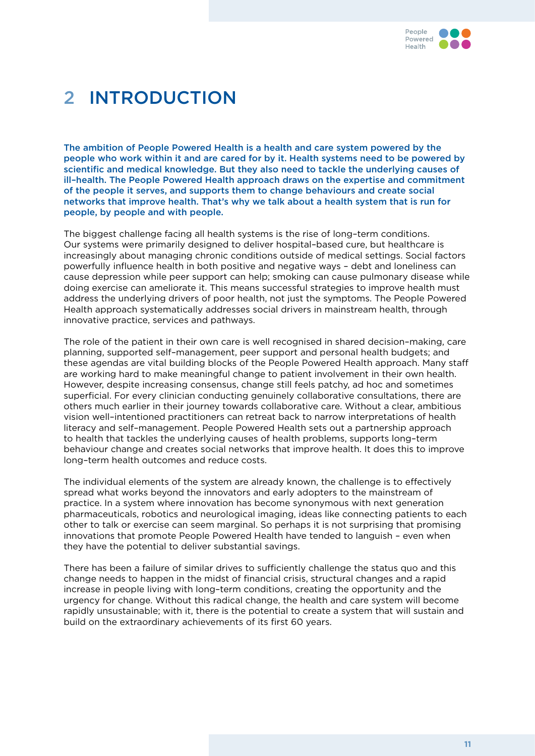

### 2 Introduction

The ambition of People Powered Health is a health and care system powered by the people who work within it and are cared for by it. Health systems need to be powered by scientific and medical knowledge. But they also need to tackle the underlying causes of ill–health. The People Powered Health approach draws on the expertise and commitment of the people it serves, and supports them to change behaviours and create social networks that improve health. That's why we talk about a health system that is run for people, by people and with people.

The biggest challenge facing all health systems is the rise of long–term conditions. Our systems were primarily designed to deliver hospital–based cure, but healthcare is increasingly about managing chronic conditions outside of medical settings. Social factors powerfully influence health in both positive and negative ways – debt and loneliness can cause depression while peer support can help; smoking can cause pulmonary disease while doing exercise can ameliorate it. This means successful strategies to improve health must address the underlying drivers of poor health, not just the symptoms. The People Powered Health approach systematically addresses social drivers in mainstream health, through innovative practice, services and pathways.

The role of the patient in their own care is well recognised in shared decision–making, care planning, supported self–management, peer support and personal health budgets; and these agendas are vital building blocks of the People Powered Health approach. Many staff are working hard to make meaningful change to patient involvement in their own health. However, despite increasing consensus, change still feels patchy, ad hoc and sometimes superficial. For every clinician conducting genuinely collaborative consultations, there are others much earlier in their journey towards collaborative care. Without a clear, ambitious vision well–intentioned practitioners can retreat back to narrow interpretations of health literacy and self–management. People Powered Health sets out a partnership approach to health that tackles the underlying causes of health problems, supports long–term behaviour change and creates social networks that improve health. It does this to improve long–term health outcomes and reduce costs.

The individual elements of the system are already known, the challenge is to effectively spread what works beyond the innovators and early adopters to the mainstream of practice. In a system where innovation has become synonymous with next generation pharmaceuticals, robotics and neurological imaging, ideas like connecting patients to each other to talk or exercise can seem marginal. So perhaps it is not surprising that promising innovations that promote People Powered Health have tended to languish – even when they have the potential to deliver substantial savings.

There has been a failure of similar drives to sufficiently challenge the status quo and this change needs to happen in the midst of financial crisis, structural changes and a rapid increase in people living with long–term conditions, creating the opportunity and the urgency for change. Without this radical change, the health and care system will become rapidly unsustainable; with it, there is the potential to create a system that will sustain and build on the extraordinary achievements of its first 60 years.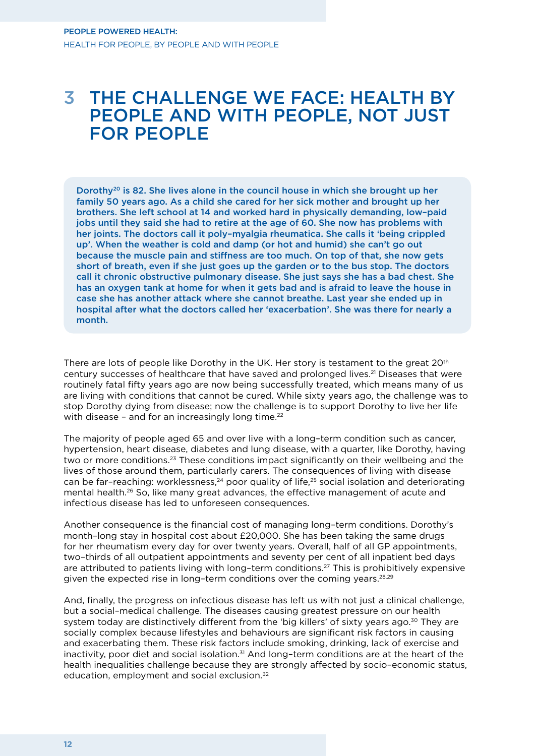### 3 The challenge we face: health by people and with people, not just for people

Dorothy<sup>20</sup> is 82. She lives alone in the council house in which she brought up her family 50 years ago. As a child she cared for her sick mother and brought up her brothers. She left school at 14 and worked hard in physically demanding, low–paid jobs until they said she had to retire at the age of 60. She now has problems with her joints. The doctors call it poly–myalgia rheumatica. She calls it 'being crippled up'. When the weather is cold and damp (or hot and humid) she can't go out because the muscle pain and stiffness are too much. On top of that, she now gets short of breath, even if she just goes up the garden or to the bus stop. The doctors call it chronic obstructive pulmonary disease. She just says she has a bad chest. She has an oxygen tank at home for when it gets bad and is afraid to leave the house in case she has another attack where she cannot breathe. Last year she ended up in hospital after what the doctors called her 'exacerbation'. She was there for nearly a month.

There are lots of people like Dorothy in the UK. Her story is testament to the great 20<sup>th</sup> century successes of healthcare that have saved and prolonged lives.<sup>21</sup> Diseases that were routinely fatal fifty years ago are now being successfully treated, which means many of us are living with conditions that cannot be cured. While sixty years ago, the challenge was to stop Dorothy dying from disease; now the challenge is to support Dorothy to live her life with disease - and for an increasingly long time.<sup>22</sup>

The majority of people aged 65 and over live with a long–term condition such as cancer, hypertension, heart disease, diabetes and lung disease, with a quarter, like Dorothy, having two or more conditions.23 These conditions impact significantly on their wellbeing and the lives of those around them, particularly carers. The consequences of living with disease can be far-reaching: worklessness,<sup>24</sup> poor quality of life,<sup>25</sup> social isolation and deteriorating mental health.26 So, like many great advances, the effective management of acute and infectious disease has led to unforeseen consequences.

Another consequence is the financial cost of managing long–term conditions. Dorothy's month–long stay in hospital cost about £20,000. She has been taking the same drugs for her rheumatism every day for over twenty years. Overall, half of all GP appointments, two–thirds of all outpatient appointments and seventy per cent of all inpatient bed days are attributed to patients living with long-term conditions.<sup>27</sup> This is prohibitively expensive given the expected rise in long-term conditions over the coming years.<sup>28,29</sup>

And, finally, the progress on infectious disease has left us with not just a clinical challenge, but a social–medical challenge. The diseases causing greatest pressure on our health system today are distinctively different from the 'big killers' of sixty years ago.<sup>30</sup> They are socially complex because lifestyles and behaviours are significant risk factors in causing and exacerbating them. These risk factors include smoking, drinking, lack of exercise and inactivity, poor diet and social isolation.31 And long–term conditions are at the heart of the health inequalities challenge because they are strongly affected by socio–economic status, education, employment and social exclusion.32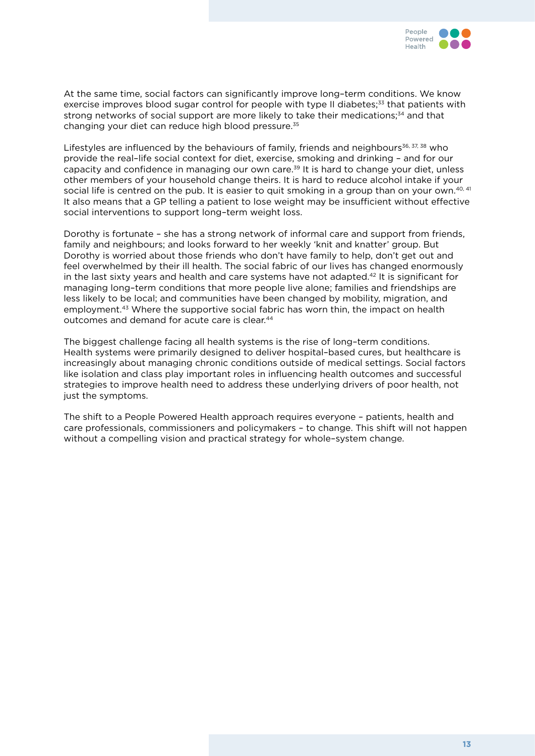

At the same time, social factors can significantly improve long–term conditions. We know exercise improves blood sugar control for people with type II diabetes;<sup>33</sup> that patients with strong networks of social support are more likely to take their medications;<sup>34</sup> and that changing your diet can reduce high blood pressure.35

Lifestyles are influenced by the behaviours of family, friends and neighbours<sup>36, 37, 38</sup> who provide the real–life social context for diet, exercise, smoking and drinking – and for our capacity and confidence in managing our own care.<sup>39</sup> It is hard to change your diet, unless other members of your household change theirs. It is hard to reduce alcohol intake if your social life is centred on the pub. It is easier to quit smoking in a group than on your own.<sup>40, 41</sup> It also means that a GP telling a patient to lose weight may be insufficient without effective social interventions to support long–term weight loss.

Dorothy is fortunate – she has a strong network of informal care and support from friends, family and neighbours; and looks forward to her weekly 'knit and knatter' group. But Dorothy is worried about those friends who don't have family to help, don't get out and feel overwhelmed by their ill health. The social fabric of our lives has changed enormously in the last sixty years and health and care systems have not adapted.42 It is significant for managing long–term conditions that more people live alone; families and friendships are less likely to be local; and communities have been changed by mobility, migration, and employment.43 Where the supportive social fabric has worn thin, the impact on health outcomes and demand for acute care is clear.<sup>44</sup>

The biggest challenge facing all health systems is the rise of long–term conditions. Health systems were primarily designed to deliver hospital–based cures, but healthcare is increasingly about managing chronic conditions outside of medical settings. Social factors like isolation and class play important roles in influencing health outcomes and successful strategies to improve health need to address these underlying drivers of poor health, not just the symptoms.

The shift to a People Powered Health approach requires everyone – patients, health and care professionals, commissioners and policymakers – to change. This shift will not happen without a compelling vision and practical strategy for whole–system change.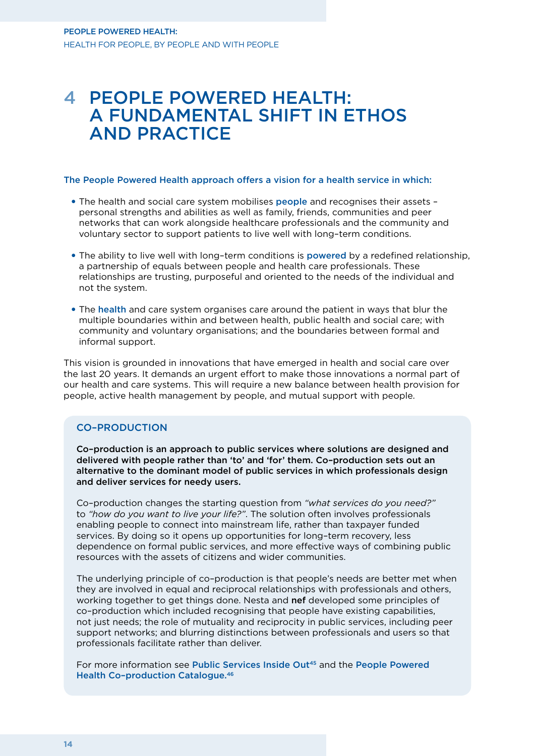### 4 People Powered Health: a fundamental shift in ethos and practice

#### The People Powered Health approach offers a vision for a health service in which:

- The health and social care system mobilises people and recognises their assets personal strengths and abilities as well as family, friends, communities and peer networks that can work alongside healthcare professionals and the community and voluntary sector to support patients to live well with long–term conditions.
- The ability to live well with long-term conditions is **powered** by a redefined relationship, a partnership of equals between people and health care professionals. These relationships are trusting, purposeful and oriented to the needs of the individual and not the system.
- The health and care system organises care around the patient in ways that blur the multiple boundaries within and between health, public health and social care; with community and voluntary organisations; and the boundaries between formal and informal support.

This vision is grounded in innovations that have emerged in health and social care over the last 20 years. It demands an urgent effort to make those innovations a normal part of our health and care systems. This will require a new balance between health provision for people, active health management by people, and mutual support with people.

#### Co–production

Co–production is an approach to public services where solutions are designed and delivered with people rather than 'to' and 'for' them. Co–production sets out an alternative to the dominant model of public services in which professionals design and deliver services for needy users.

Co–production changes the starting question from *"what services do you need?"* to *"how do you want to live your life?"*. The solution often involves professionals enabling people to connect into mainstream life, rather than taxpayer funded services. By doing so it opens up opportunities for long–term recovery, less dependence on formal public services, and more effective ways of combining public resources with the assets of citizens and wider communities.

The underlying principle of co–production is that people's needs are better met when they are involved in equal and reciprocal relationships with professionals and others, working together to get things done. Nesta and **nef** developed some principles of co–production which included recognising that people have existing capabilities, not just needs; the role of mutuality and reciprocity in public services, including peer support networks; and blurring distinctions between professionals and users so that professionals facilitate rather than deliver.

For more information see Public Services Inside Out<sup>45</sup> and the People Powered Health Co–production Catalogue.46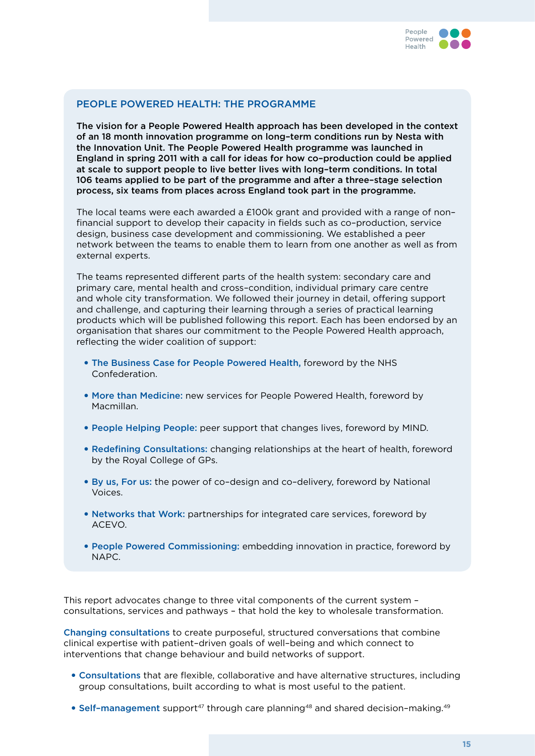

#### People Powered Health: the programme

The vision for a People Powered Health approach has been developed in the context of an 18 month innovation programme on long–term conditions run by Nesta with the Innovation Unit. The People Powered Health programme was launched in England in spring 2011 with a call for ideas for how co–production could be applied at scale to support people to live better lives with long–term conditions. In total 106 teams applied to be part of the programme and after a three–stage selection process, six teams from places across England took part in the programme.

The local teams were each awarded a £100k grant and provided with a range of non– financial support to develop their capacity in fields such as co–production, service design, business case development and commissioning. We established a peer network between the teams to enable them to learn from one another as well as from external experts.

The teams represented different parts of the health system: secondary care and primary care, mental health and cross–condition, individual primary care centre and whole city transformation. We followed their journey in detail, offering support and challenge, and capturing their learning through a series of practical learning products which will be published following this report. Each has been endorsed by an organisation that shares our commitment to the People Powered Health approach, reflecting the wider coalition of support:

- The Business Case for People Powered Health, foreword by the NHS Confederation.
- More than Medicine: new services for People Powered Health, foreword by Macmillan.
- People Helping People: peer support that changes lives, foreword by MIND.
- Redefining Consultations: changing relationships at the heart of health, foreword by the Royal College of GPs.
- • By us, For us: the power of co–design and co–delivery, foreword by National Voices.
- • Networks that Work: partnerships for integrated care services, foreword by ACEVO.
- People Powered Commissioning: embedding innovation in practice, foreword by NAPC.

This report advocates change to three vital components of the current system – consultations, services and pathways – that hold the key to wholesale transformation.

Changing consultations to create purposeful, structured conversations that combine clinical expertise with patient–driven goals of well–being and which connect to interventions that change behaviour and build networks of support.

- • Consultations that are flexible, collaborative and have alternative structures, including group consultations, built according to what is most useful to the patient.
- Self-management support<sup>47</sup> through care planning<sup>48</sup> and shared decision-making.<sup>49</sup>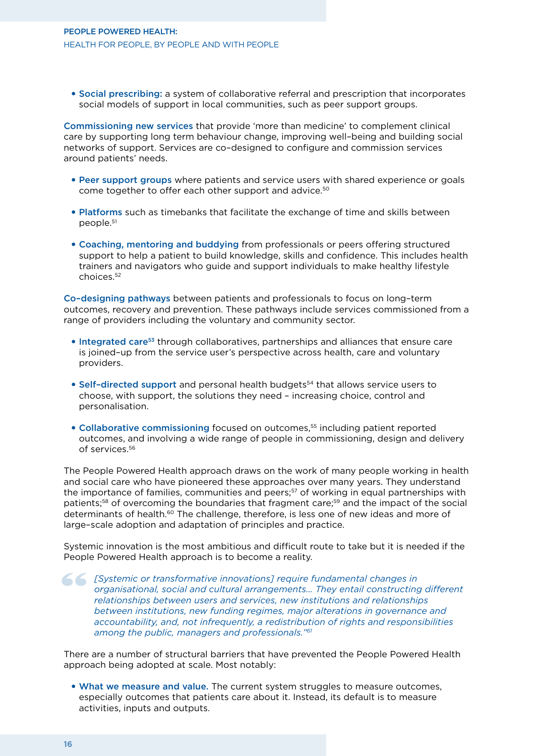#### People Powered Health: Health for people, by people and with people

• Social prescribing: a system of collaborative referral and prescription that incorporates social models of support in local communities, such as peer support groups.

Commissioning new services that provide 'more than medicine' to complement clinical care by supporting long term behaviour change, improving well–being and building social networks of support. Services are co–designed to configure and commission services around patients' needs.

- Peer support groups where patients and service users with shared experience or goals come together to offer each other support and advice.<sup>50</sup>
- Platforms such as timebanks that facilitate the exchange of time and skills between people.51
- • Coaching, mentoring and buddying from professionals or peers offering structured support to help a patient to build knowledge, skills and confidence. This includes health trainers and navigators who guide and support individuals to make healthy lifestyle choices.52

Co–designing pathways between patients and professionals to focus on long–term outcomes, recovery and prevention. These pathways include services commissioned from a range of providers including the voluntary and community sector.

- Integrated care<sup>53</sup> through collaboratives, partnerships and alliances that ensure care is joined–up from the service user's perspective across health, care and voluntary providers.
- Self-directed support and personal health budgets<sup>54</sup> that allows service users to choose, with support, the solutions they need – increasing choice, control and personalisation.
- Collaborative commissioning focused on outcomes.<sup>55</sup> including patient reported outcomes, and involving a wide range of people in commissioning, design and delivery of services.56

The People Powered Health approach draws on the work of many people working in health and social care who have pioneered these approaches over many years. They understand the importance of families, communities and peers;<sup>57</sup> of working in equal partnerships with patients;<sup>58</sup> of overcoming the boundaries that fragment care;<sup>59</sup> and the impact of the social determinants of health.<sup>60</sup> The challenge, therefore, is less one of new ideas and more of large–scale adoption and adaptation of principles and practice.

Systemic innovation is the most ambitious and difficult route to take but it is needed if the People Powered Health approach is to become a reality.

**[Systemic or transformative innovations] require fundamental changes in organisational, social and cultural arrangements... They entail constructing relationships between users and services, new institutions and relations** *organisational, social and cultural arrangements… They entail constructing different relationships between users and services, new institutions and relationships between institutions, new funding regimes, major alterations in governance and accountability, and, not infrequently, a redistribution of rights and responsibilities among the public, managers and professionals."61*

There are a number of structural barriers that have prevented the People Powered Health approach being adopted at scale. Most notably:

• What we measure and value. The current system struggles to measure outcomes, especially outcomes that patients care about it. Instead, its default is to measure activities, inputs and outputs.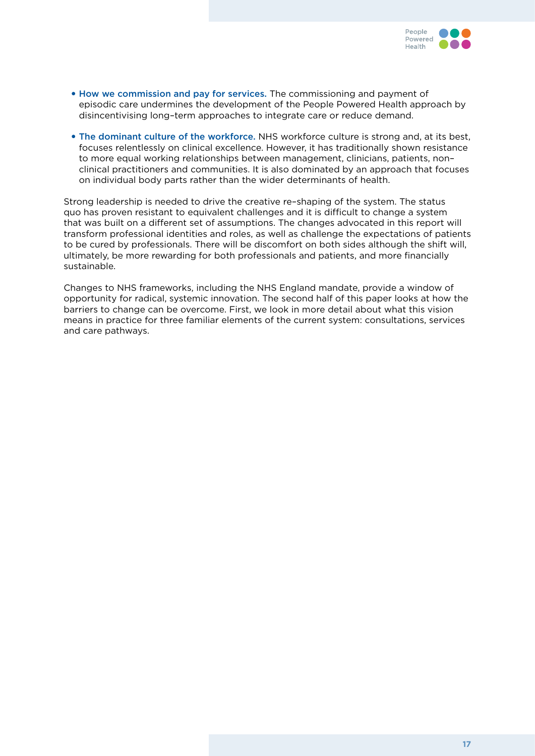

- How we commission and pay for services. The commissioning and payment of episodic care undermines the development of the People Powered Health approach by disincentivising long–term approaches to integrate care or reduce demand.
- The dominant culture of the workforce. NHS workforce culture is strong and, at its best, focuses relentlessly on clinical excellence. However, it has traditionally shown resistance to more equal working relationships between management, clinicians, patients, non– clinical practitioners and communities. It is also dominated by an approach that focuses on individual body parts rather than the wider determinants of health.

Strong leadership is needed to drive the creative re–shaping of the system. The status quo has proven resistant to equivalent challenges and it is difficult to change a system that was built on a different set of assumptions. The changes advocated in this report will transform professional identities and roles, as well as challenge the expectations of patients to be cured by professionals. There will be discomfort on both sides although the shift will, ultimately, be more rewarding for both professionals and patients, and more financially sustainable.

Changes to NHS frameworks, including the NHS England mandate, provide a window of opportunity for radical, systemic innovation. The second half of this paper looks at how the barriers to change can be overcome. First, we look in more detail about what this vision means in practice for three familiar elements of the current system: consultations, services and care pathways.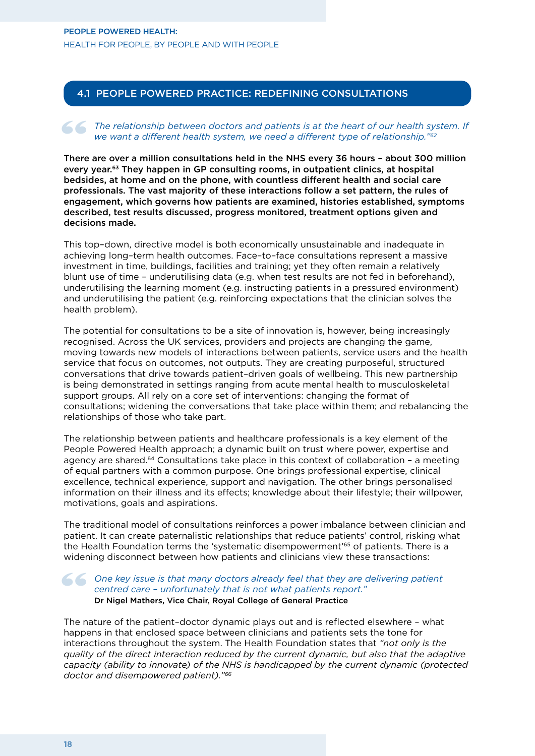#### 4.1 People Powered Practice: redefining consultations

### The relationship between doctors and patients is at the heart of our health system. If<br>
we want a different health system, we need a different type of relationship."<sup>62</sup><br>
There are aver a million consultations hald in the *we want a different health system, we need a different type of relationship."62*

There are over a million consultations held in the NHS every 36 hours – about 300 million every year.63 They happen in GP consulting rooms, in outpatient clinics, at hospital bedsides, at home and on the phone, with countless different health and social care professionals. The vast majority of these interactions follow a set pattern, the rules of engagement, which governs how patients are examined, histories established, symptoms described, test results discussed, progress monitored, treatment options given and decisions made.

This top–down, directive model is both economically unsustainable and inadequate in achieving long–term health outcomes. Face–to–face consultations represent a massive investment in time, buildings, facilities and training; yet they often remain a relatively blunt use of time – underutilising data (e.g. when test results are not fed in beforehand), underutilising the learning moment (e.g. instructing patients in a pressured environment) and underutilising the patient (e.g. reinforcing expectations that the clinician solves the health problem).

The potential for consultations to be a site of innovation is, however, being increasingly recognised. Across the UK services, providers and projects are changing the game, moving towards new models of interactions between patients, service users and the health service that focus on outcomes, not outputs. They are creating purposeful, structured conversations that drive towards patient–driven goals of wellbeing. This new partnership is being demonstrated in settings ranging from acute mental health to musculoskeletal support groups. All rely on a core set of interventions: changing the format of consultations; widening the conversations that take place within them; and rebalancing the relationships of those who take part.

The relationship between patients and healthcare professionals is a key element of the People Powered Health approach; a dynamic built on trust where power, expertise and agency are shared.64 Consultations take place in this context of collaboration – a meeting of equal partners with a common purpose. One brings professional expertise, clinical excellence, technical experience, support and navigation. The other brings personalised information on their illness and its effects; knowledge about their lifestyle; their willpower, motivations, goals and aspirations.

The traditional model of consultations reinforces a power imbalance between clinician and patient. It can create paternalistic relationships that reduce patients' control, risking what the Health Foundation terms the 'systematic disempowerment'65 of patients. There is a widening disconnect between how patients and clinicians view these transactions:

#### One key issue is that many doctors already feel that they are delivering patient centred care - unfortunately that is not what patients report."<br>Dr Nigel Mathers, Vice Chair, Royal College of General Practice *centred care – unfortunately that is not what patients report."*  Dr Nigel Mathers, Vice Chair, Royal College of General Practice

The nature of the patient–doctor dynamic plays out and is reflected elsewhere – what happens in that enclosed space between clinicians and patients sets the tone for interactions throughout the system. The Health Foundation states that *"not only is the quality of the direct interaction reduced by the current dynamic, but also that the adaptive capacity (ability to innovate) of the NHS is handicapped by the current dynamic (protected doctor and disempowered patient)."66*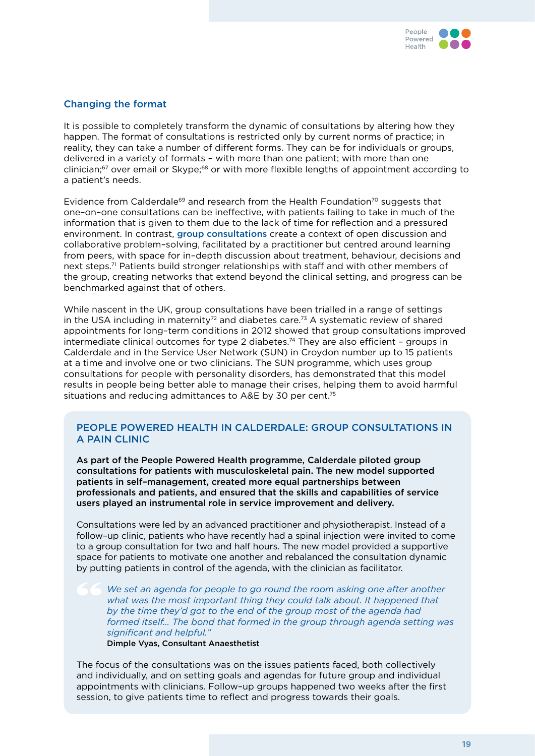

#### Changing the format

It is possible to completely transform the dynamic of consultations by altering how they happen. The format of consultations is restricted only by current norms of practice; in reality, they can take a number of different forms. They can be for individuals or groups, delivered in a variety of formats – with more than one patient; with more than one clinician;<sup>67</sup> over email or Skype;<sup>68</sup> or with more flexible lengths of appointment according to a patient's needs.

Evidence from Calderdale<sup>69</sup> and research from the Health Foundation<sup>70</sup> suggests that one–on–one consultations can be ineffective, with patients failing to take in much of the information that is given to them due to the lack of time for reflection and a pressured environment. In contrast, group consultations create a context of open discussion and collaborative problem–solving, facilitated by a practitioner but centred around learning from peers, with space for in–depth discussion about treatment, behaviour, decisions and next steps.<sup>71</sup> Patients build stronger relationships with staff and with other members of the group, creating networks that extend beyond the clinical setting, and progress can be benchmarked against that of others.

While nascent in the UK, group consultations have been trialled in a range of settings in the USA including in maternity<sup>72</sup> and diabetes care.<sup>73</sup> A systematic review of shared appointments for long–term conditions in 2012 showed that group consultations improved intermediate clinical outcomes for type 2 diabetes.74 They are also efficient – groups in Calderdale and in the Service User Network (SUN) in Croydon number up to 15 patients at a time and involve one or two clinicians. The SUN programme, which uses group consultations for people with personality disorders, has demonstrated that this model results in people being better able to manage their crises, helping them to avoid harmful situations and reducing admittances to A&E by 30 per cent.<sup>75</sup>

#### People Powered Health in Calderdale: group consultations in a pain clinic

As part of the People Powered Health programme, Calderdale piloted group consultations for patients with musculoskeletal pain. The new model supported patients in self–management, created more equal partnerships between professionals and patients, and ensured that the skills and capabilities of service users played an instrumental role in service improvement and delivery.

Consultations were led by an advanced practitioner and physiotherapist. Instead of a follow–up clinic, patients who have recently had a spinal injection were invited to come to a group consultation for two and half hours. The new model provided a supportive space for patients to motivate one another and rebalanced the consultation dynamic by putting patients in control of the agenda, with the clinician as facilitator.

*We set an agenda for people to go round the room asking one after another*  what was the most important thing they could talk about. It happened that *by the time they'd got to the end of the group most of the agenda had formed itself… The bond that formed in the group through agenda setting was significant and helpful."*

Dimple Vyas, Consultant Anaesthetist

The focus of the consultations was on the issues patients faced, both collectively and individually, and on setting goals and agendas for future group and individual appointments with clinicians. Follow–up groups happened two weeks after the first session, to give patients time to reflect and progress towards their goals.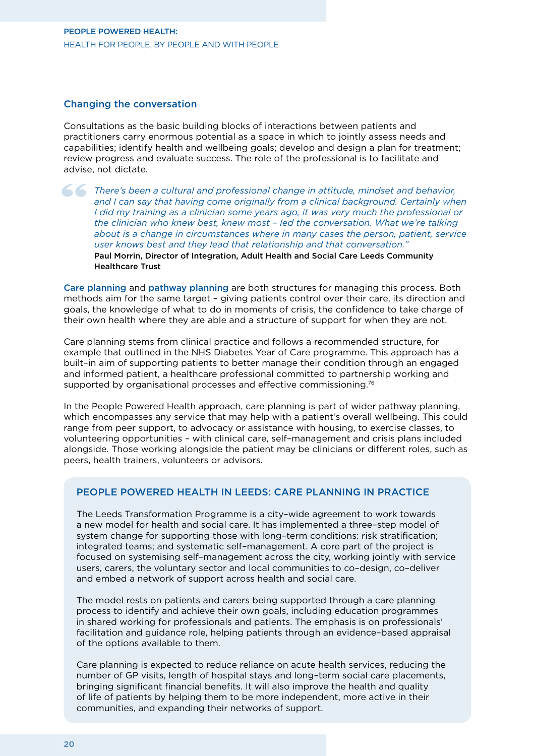#### Changing the conversation

Consultations as the basic building blocks of interactions between patients and practitioners carry enormous potential as a space in which to jointly assess needs and capabilities; identify health and wellbeing goals; develop and design a plan for treatment; review progress and evaluate success. The role of the professional is to facilitate and advise, not dictate.

There's been a cultural and professional change in attitude, mindset and behavior, and I can say that having come originally from a clinical background. Certainly when I did my training as a clinician some years ago, it wa and I can say that having come originally from a clinical background. Certainly when *I did my training as a clinician some years ago, it was very much the professional or the clinician who knew best, knew most – led the conversation. What we're talking about is a change in circumstances where in many cases the person, patient, service user knows best and they lead that relationship and that conversation."* Paul Morrin, Director of Integration, Adult Health and Social Care Leeds Community Healthcare Trust

Care planning and pathway planning are both structures for managing this process. Both methods aim for the same target – giving patients control over their care, its direction and goals, the knowledge of what to do in moments of crisis, the confidence to take charge of their own health where they are able and a structure of support for when they are not.

Care planning stems from clinical practice and follows a recommended structure, for example that outlined in the NHS Diabetes Year of Care programme. This approach has a built–in aim of supporting patients to better manage their condition through an engaged and informed patient, a healthcare professional committed to partnership working and supported by organisational processes and effective commissioning.<sup>76</sup>

In the People Powered Health approach, care planning is part of wider pathway planning, which encompasses any service that may help with a patient's overall wellbeing. This could range from peer support, to advocacy or assistance with housing, to exercise classes, to volunteering opportunities – with clinical care, self–management and crisis plans included alongside. Those working alongside the patient may be clinicians or different roles, such as peers, health trainers, volunteers or advisors.

#### PEOPLE POWERED HEALTH IN LEEDS: CARE PLANNING IN PRACTICE

The Leeds Transformation Programme is a city–wide agreement to work towards a new model for health and social care. It has implemented a three–step model of system change for supporting those with long–term conditions: risk stratification; integrated teams; and systematic self–management. A core part of the project is focused on systemising self–management across the city, working jointly with service users, carers, the voluntary sector and local communities to co–design, co–deliver and embed a network of support across health and social care.

The model rests on patients and carers being supported through a care planning process to identify and achieve their own goals, including education programmes in shared working for professionals and patients. The emphasis is on professionals' facilitation and guidance role, helping patients through an evidence–based appraisal of the options available to them.

Care planning is expected to reduce reliance on acute health services, reducing the number of GP visits, length of hospital stays and long–term social care placements, bringing significant financial benefits. It will also improve the health and quality of life of patients by helping them to be more independent, more active in their communities, and expanding their networks of support.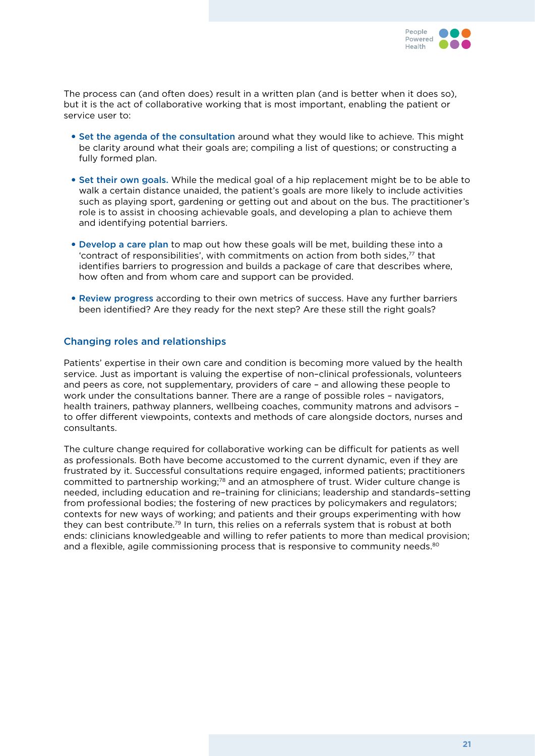

The process can (and often does) result in a written plan (and is better when it does so), but it is the act of collaborative working that is most important, enabling the patient or service user to:

- Set the agenda of the consultation around what they would like to achieve. This might be clarity around what their goals are; compiling a list of questions; or constructing a fully formed plan.
- Set their own goals. While the medical goal of a hip replacement might be to be able to walk a certain distance unaided, the patient's goals are more likely to include activities such as playing sport, gardening or getting out and about on the bus. The practitioner's role is to assist in choosing achievable goals, and developing a plan to achieve them and identifying potential barriers.
- Develop a care plan to map out how these goals will be met, building these into a 'contract of responsibilities', with commitments on action from both sides,77 that identifies barriers to progression and builds a package of care that describes where, how often and from whom care and support can be provided.
- Review progress according to their own metrics of success. Have any further barriers been identified? Are they ready for the next step? Are these still the right goals?

#### Changing roles and relationships

Patients' expertise in their own care and condition is becoming more valued by the health service. Just as important is valuing the expertise of non–clinical professionals, volunteers and peers as core, not supplementary, providers of care – and allowing these people to work under the consultations banner. There are a range of possible roles – navigators, health trainers, pathway planners, wellbeing coaches, community matrons and advisors – to offer different viewpoints, contexts and methods of care alongside doctors, nurses and consultants.

The culture change required for collaborative working can be difficult for patients as well as professionals. Both have become accustomed to the current dynamic, even if they are frustrated by it. Successful consultations require engaged, informed patients; practitioners committed to partnership working;<sup>78</sup> and an atmosphere of trust. Wider culture change is needed, including education and re–training for clinicians; leadership and standards–setting from professional bodies; the fostering of new practices by policymakers and regulators; contexts for new ways of working; and patients and their groups experimenting with how they can best contribute.79 In turn, this relies on a referrals system that is robust at both ends: clinicians knowledgeable and willing to refer patients to more than medical provision; and a flexible, agile commissioning process that is responsive to community needs. $80^\circ$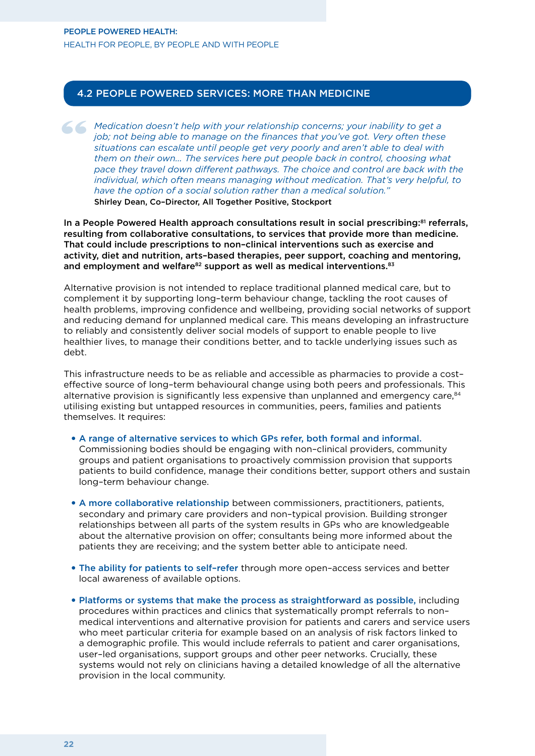#### 4.2 People Powered Services: more than medicine

*Medication doesn't help with your relationship concerns; your inability to get a job; not being able to manage on the finances that you've got. Very often these situations can escalate until people get very poorly and are job; not being able to manage on the finances that you've got. Very often these situations can escalate until people get very poorly and aren't able to deal with them on their own… The services here put people back in control, choosing what pace they travel down different pathways. The choice and control are back with the individual, which often means managing without medication. That's very helpful, to have the option of a social solution rather than a medical solution."* Shirley Dean, Co–Director, All Together Positive, Stockport

In a People Powered Health approach consultations result in social prescribing:<sup>81</sup> referrals, resulting from collaborative consultations, to services that provide more than medicine. That could include prescriptions to non–clinical interventions such as exercise and activity, diet and nutrition, arts–based therapies, peer support, coaching and mentoring, and employment and welfare $82$  support as well as medical interventions. $83$ 

Alternative provision is not intended to replace traditional planned medical care, but to complement it by supporting long–term behaviour change, tackling the root causes of health problems, improving confidence and wellbeing, providing social networks of support and reducing demand for unplanned medical care. This means developing an infrastructure to reliably and consistently deliver social models of support to enable people to live healthier lives, to manage their conditions better, and to tackle underlying issues such as debt.

This infrastructure needs to be as reliable and accessible as pharmacies to provide a cost– effective source of long–term behavioural change using both peers and professionals. This alternative provision is significantly less expensive than unplanned and emergency care, $84$ utilising existing but untapped resources in communities, peers, families and patients themselves. It requires:

- • A range of alternative services to which GPs refer, both formal and informal. Commissioning bodies should be engaging with non–clinical providers, community groups and patient organisations to proactively commission provision that supports patients to build confidence, manage their conditions better, support others and sustain long–term behaviour change.
- • A more collaborative relationship between commissioners, practitioners, patients, secondary and primary care providers and non–typical provision. Building stronger relationships between all parts of the system results in GPs who are knowledgeable about the alternative provision on offer; consultants being more informed about the patients they are receiving; and the system better able to anticipate need.
- The ability for patients to self-refer through more open-access services and better local awareness of available options.
- Platforms or systems that make the process as straightforward as possible, including procedures within practices and clinics that systematically prompt referrals to non– medical interventions and alternative provision for patients and carers and service users who meet particular criteria for example based on an analysis of risk factors linked to a demographic profile. This would include referrals to patient and carer organisations, user–led organisations, support groups and other peer networks. Crucially, these systems would not rely on clinicians having a detailed knowledge of all the alternative provision in the local community.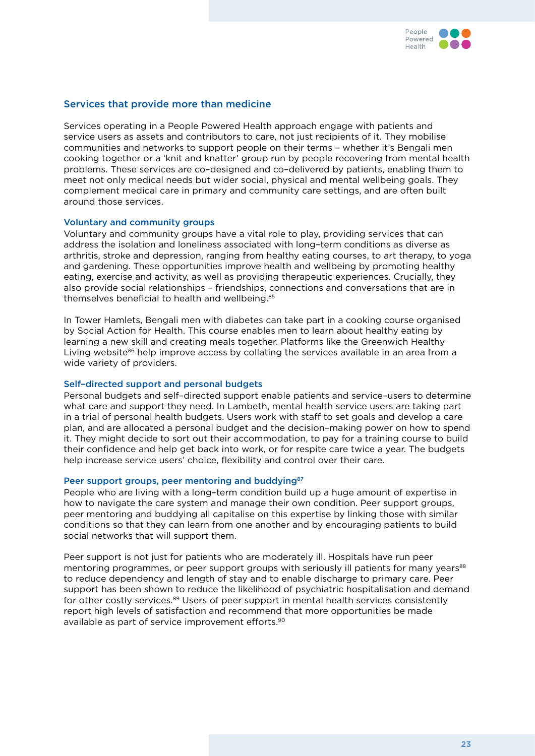

#### Services that provide more than medicine

Services operating in a People Powered Health approach engage with patients and service users as assets and contributors to care, not just recipients of it. They mobilise communities and networks to support people on their terms – whether it's Bengali men cooking together or a 'knit and knatter' group run by people recovering from mental health problems. These services are co–designed and co–delivered by patients, enabling them to meet not only medical needs but wider social, physical and mental wellbeing goals. They complement medical care in primary and community care settings, and are often built around those services.

#### Voluntary and community groups

Voluntary and community groups have a vital role to play, providing services that can address the isolation and loneliness associated with long–term conditions as diverse as arthritis, stroke and depression, ranging from healthy eating courses, to art therapy, to yoga and gardening. These opportunities improve health and wellbeing by promoting healthy eating, exercise and activity, as well as providing therapeutic experiences. Crucially, they also provide social relationships – friendships, connections and conversations that are in themselves beneficial to health and wellbeing.85

In Tower Hamlets, Bengali men with diabetes can take part in a cooking course organised by Social Action for Health. This course enables men to learn about healthy eating by learning a new skill and creating meals together. Platforms like the Greenwich Healthy Living website<sup>86</sup> help improve access by collating the services available in an area from a wide variety of providers.

#### Self–directed support and personal budgets

Personal budgets and self–directed support enable patients and service–users to determine what care and support they need. In Lambeth, mental health service users are taking part in a trial of personal health budgets. Users work with staff to set goals and develop a care plan, and are allocated a personal budget and the decision–making power on how to spend it. They might decide to sort out their accommodation, to pay for a training course to build their confidence and help get back into work, or for respite care twice a year. The budgets help increase service users' choice, flexibility and control over their care.

#### Peer support groups, peer mentoring and buddying<sup>87</sup>

People who are living with a long–term condition build up a huge amount of expertise in how to navigate the care system and manage their own condition. Peer support groups, peer mentoring and buddying all capitalise on this expertise by linking those with similar conditions so that they can learn from one another and by encouraging patients to build social networks that will support them.

Peer support is not just for patients who are moderately ill. Hospitals have run peer mentoring programmes, or peer support groups with seriously ill patients for many years<sup>88</sup> to reduce dependency and length of stay and to enable discharge to primary care. Peer support has been shown to reduce the likelihood of psychiatric hospitalisation and demand for other costly services.<sup>89</sup> Users of peer support in mental health services consistently report high levels of satisfaction and recommend that more opportunities be made available as part of service improvement efforts.90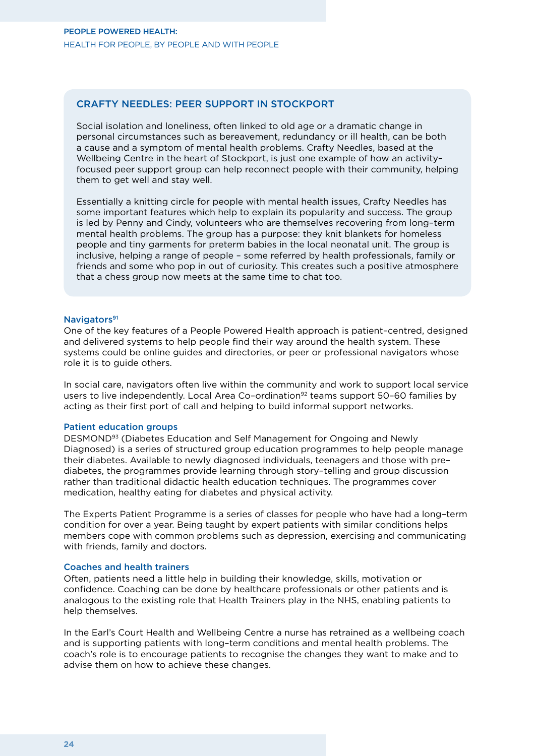#### Crafty Needles: peer support in Stockport

Social isolation and loneliness, often linked to old age or a dramatic change in personal circumstances such as bereavement, redundancy or ill health, can be both a cause and a symptom of mental health problems. Crafty Needles, based at the Wellbeing Centre in the heart of Stockport, is just one example of how an activity– focused peer support group can help reconnect people with their community, helping them to get well and stay well.

Essentially a knitting circle for people with mental health issues, Crafty Needles has some important features which help to explain its popularity and success. The group is led by Penny and Cindy, volunteers who are themselves recovering from long–term mental health problems. The group has a purpose: they knit blankets for homeless people and tiny garments for preterm babies in the local neonatal unit. The group is inclusive, helping a range of people – some referred by health professionals, family or friends and some who pop in out of curiosity. This creates such a positive atmosphere that a chess group now meets at the same time to chat too.

#### Navigators<sup>91</sup>

One of the key features of a People Powered Health approach is patient–centred, designed and delivered systems to help people find their way around the health system. These systems could be online guides and directories, or peer or professional navigators whose role it is to guide others.

In social care, navigators often live within the community and work to support local service users to live independently. Local Area Co-ordination<sup>92</sup> teams support 50-60 families by acting as their first port of call and helping to build informal support networks.

#### Patient education groups

DESMOND93 (Diabetes Education and Self Management for Ongoing and Newly Diagnosed) is a series of structured group education programmes to help people manage their diabetes. Available to newly diagnosed individuals, teenagers and those with pre– diabetes, the programmes provide learning through story–telling and group discussion rather than traditional didactic health education techniques. The programmes cover medication, healthy eating for diabetes and physical activity.

The Experts Patient Programme is a series of classes for people who have had a long–term condition for over a year. Being taught by expert patients with similar conditions helps members cope with common problems such as depression, exercising and communicating with friends, family and doctors.

#### Coaches and health trainers

Often, patients need a little help in building their knowledge, skills, motivation or confidence. Coaching can be done by healthcare professionals or other patients and is analogous to the existing role that Health Trainers play in the NHS, enabling patients to help themselves.

In the Earl's Court Health and Wellbeing Centre a nurse has retrained as a wellbeing coach and is supporting patients with long–term conditions and mental health problems. The coach's role is to encourage patients to recognise the changes they want to make and to advise them on how to achieve these changes.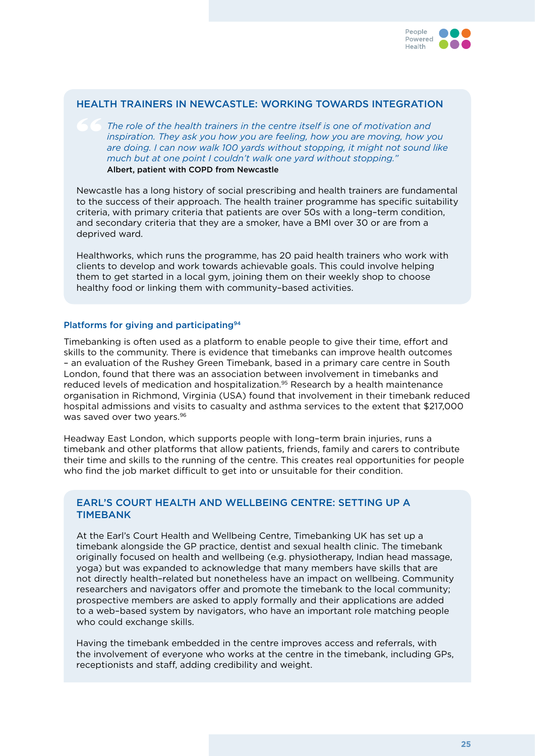

#### Health trainers in Newcastle: working towards integration

*The role of the health trainers in the centre itself is one of motivation and inspiration. They ask you how you are feeling, how you are moving, how you are doing. I can now walk 100 yards without stopping, it might not sound like much but at one point I couldn't walk one yard without stopping."*  Albert, patient with COPD from Newcastle

Newcastle has a long history of social prescribing and health trainers are fundamental to the success of their approach. The health trainer programme has specific suitability criteria, with primary criteria that patients are over 50s with a long–term condition, and secondary criteria that they are a smoker, have a BMI over 30 or are from a deprived ward.

Healthworks, which runs the programme, has 20 paid health trainers who work with clients to develop and work towards achievable goals. This could involve helping them to get started in a local gym, joining them on their weekly shop to choose healthy food or linking them with community–based activities.

#### Platforms for giving and participating<sup>94</sup>

Timebanking is often used as a platform to enable people to give their time, effort and skills to the community. There is evidence that timebanks can improve health outcomes – an evaluation of the Rushey Green Timebank, based in a primary care centre in South London, found that there was an association between involvement in timebanks and reduced levels of medication and hospitalization.95 Research by a health maintenance organisation in Richmond, Virginia (USA) found that involvement in their timebank reduced hospital admissions and visits to casualty and asthma services to the extent that \$217,000 was saved over two years.<sup>96</sup>

Headway East London, which supports people with long–term brain injuries, runs a timebank and other platforms that allow patients, friends, family and carers to contribute their time and skills to the running of the centre. This creates real opportunities for people who find the job market difficult to get into or unsuitable for their condition.

#### Earl's Court Health and Wellbeing Centre: Setting up a **TIMEBANK**

At the Earl's Court Health and Wellbeing Centre, Timebanking UK has set up a timebank alongside the GP practice, dentist and sexual health clinic. The timebank originally focused on health and wellbeing (e.g. physiotherapy, Indian head massage, yoga) but was expanded to acknowledge that many members have skills that are not directly health–related but nonetheless have an impact on wellbeing. Community researchers and navigators offer and promote the timebank to the local community; prospective members are asked to apply formally and their applications are added to a web–based system by navigators, who have an important role matching people who could exchange skills.

Having the timebank embedded in the centre improves access and referrals, with the involvement of everyone who works at the centre in the timebank, including GPs, receptionists and staff, adding credibility and weight.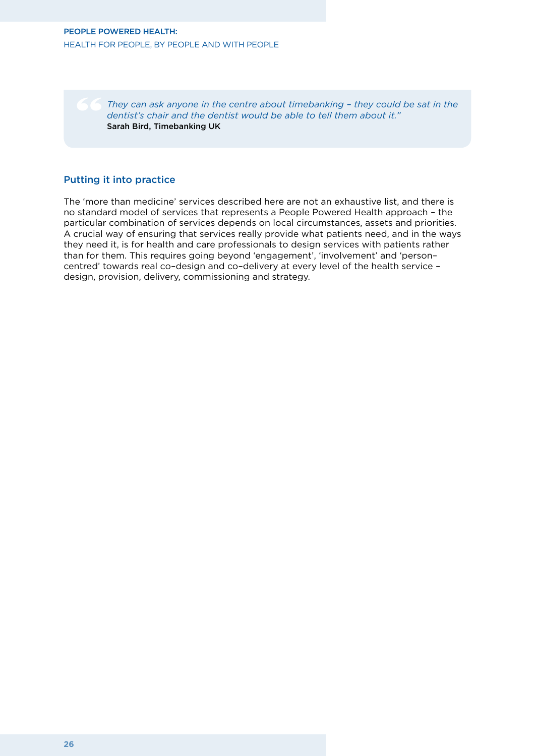*They can ask anyone in the centre about timebanking – they could be sat in the dentist's chair and the dentist would be able to tell them about it."*  Sarah Bird, Timebanking UK

#### Putting it into practice

The 'more than medicine' services described here are not an exhaustive list, and there is no standard model of services that represents a People Powered Health approach – the particular combination of services depends on local circumstances, assets and priorities. A crucial way of ensuring that services really provide what patients need, and in the ways they need it, is for health and care professionals to design services with patients rather than for them. This requires going beyond 'engagement', 'involvement' and 'person– centred' towards real co–design and co–delivery at every level of the health service – design, provision, delivery, commissioning and strategy.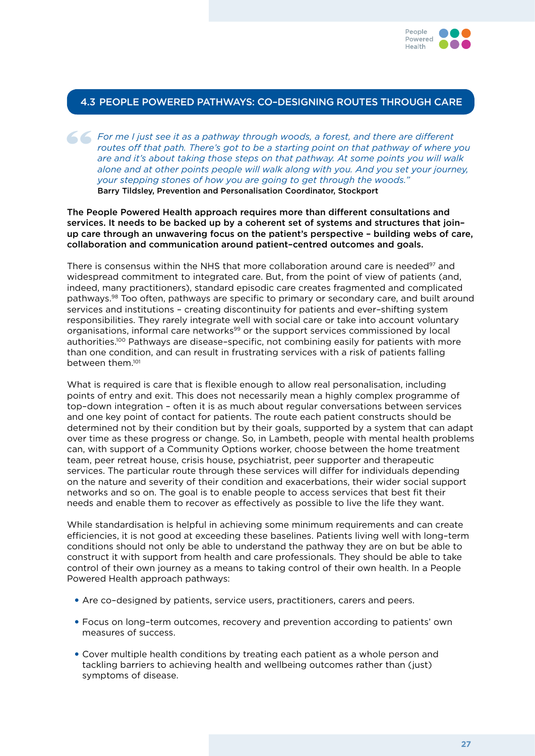

#### 4.3 People Powered Pathways: co–designing routes through care

*For me I just see it as a pathway through woods, a forest, and there are different routes off that path. There's got to be a starting point on that pathway of where y are and it's about taking those steps on that pathway. routes off that path. There's got to be a starting point on that pathway of where you are and it's about taking those steps on that pathway. At some points you will walk alone and at other points people will walk along with you. And you set your journey, your stepping stones of how you are going to get through the woods."* Barry Tildsley, Prevention and Personalisation Coordinator, Stockport

#### The People Powered Health approach requires more than different consultations and services. It needs to be backed up by a coherent set of systems and structures that join– up care through an unwavering focus on the patient's perspective – building webs of care, collaboration and communication around patient–centred outcomes and goals.

There is consensus within the NHS that more collaboration around care is needed<sup>97</sup> and widespread commitment to integrated care. But, from the point of view of patients (and, indeed, many practitioners), standard episodic care creates fragmented and complicated pathways.98 Too often, pathways are specific to primary or secondary care, and built around services and institutions – creating discontinuity for patients and ever–shifting system responsibilities. They rarely integrate well with social care or take into account voluntary organisations, informal care networks99 or the support services commissioned by local authorities.100 Pathways are disease–specific, not combining easily for patients with more than one condition, and can result in frustrating services with a risk of patients falling between them.101

What is required is care that is flexible enough to allow real personalisation, including points of entry and exit. This does not necessarily mean a highly complex programme of top–down integration – often it is as much about regular conversations between services and one key point of contact for patients. The route each patient constructs should be determined not by their condition but by their goals, supported by a system that can adapt over time as these progress or change. So, in Lambeth, people with mental health problems can, with support of a Community Options worker, choose between the home treatment team, peer retreat house, crisis house, psychiatrist, peer supporter and therapeutic services. The particular route through these services will differ for individuals depending on the nature and severity of their condition and exacerbations, their wider social support networks and so on. The goal is to enable people to access services that best fit their needs and enable them to recover as effectively as possible to live the life they want.

While standardisation is helpful in achieving some minimum requirements and can create efficiencies, it is not good at exceeding these baselines. Patients living well with long–term conditions should not only be able to understand the pathway they are on but be able to construct it with support from health and care professionals. They should be able to take control of their own journey as a means to taking control of their own health. In a People Powered Health approach pathways:

- Are co-designed by patients, service users, practitioners, carers and peers.
- • Focus on long–term outcomes, recovery and prevention according to patients' own measures of success.
- Cover multiple health conditions by treating each patient as a whole person and tackling barriers to achieving health and wellbeing outcomes rather than (just) symptoms of disease.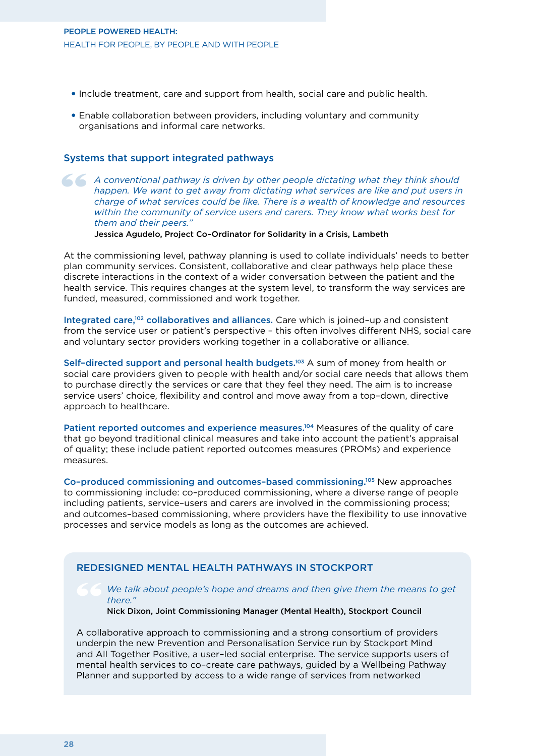#### People Powered Health: Health for people, by people and with people

- • Include treatment, care and support from health, social care and public health.
- Enable collaboration between providers, including voluntary and community organisations and informal care networks.

#### Systems that support integrated pathways

A conventional pathway is driven by other people dictating what they think should happen. We want to get away from dictating what services are like and put users in charge of what services could be like. There is a wealth *happen. We want to get away from dictating what services are like and put users in charge of what services could be like. There is a wealth of knowledge and resources within the community of service users and carers. They know what works best for them and their peers."*

Jessica Agudelo, Project Co–Ordinator for Solidarity in a Crisis, Lambeth

At the commissioning level, pathway planning is used to collate individuals' needs to better plan community services. Consistent, collaborative and clear pathways help place these discrete interactions in the context of a wider conversation between the patient and the health service. This requires changes at the system level, to transform the way services are funded, measured, commissioned and work together.

Integrated care,102 collaboratives and alliances. Care which is joined–up and consistent from the service user or patient's perspective – this often involves different NHS, social care and voluntary sector providers working together in a collaborative or alliance.

Self–directed support and personal health budgets.103 A sum of money from health or social care providers given to people with health and/or social care needs that allows them to purchase directly the services or care that they feel they need. The aim is to increase service users' choice, flexibility and control and move away from a top–down, directive approach to healthcare.

Patient reported outcomes and experience measures.104 Measures of the quality of care that go beyond traditional clinical measures and take into account the patient's appraisal of quality; these include patient reported outcomes measures (PROMs) and experience measures.

Co–produced commissioning and outcomes–based commissioning.105 New approaches to commissioning include: co–produced commissioning, where a diverse range of people including patients, service–users and carers are involved in the commissioning process; and outcomes–based commissioning, where providers have the flexibility to use innovative processes and service models as long as the outcomes are achieved.

#### Redesigned mental health pathways in Stockport

#### *We talk about people's hope and dreams and then give them the means to get there."*

#### Nick Dixon, Joint Commissioning Manager (Mental Health), Stockport Council

A collaborative approach to commissioning and a strong consortium of providers underpin the new Prevention and Personalisation Service run by Stockport Mind and All Together Positive, a user–led social enterprise. The service supports users of mental health services to co–create care pathways, guided by a Wellbeing Pathway Planner and supported by access to a wide range of services from networked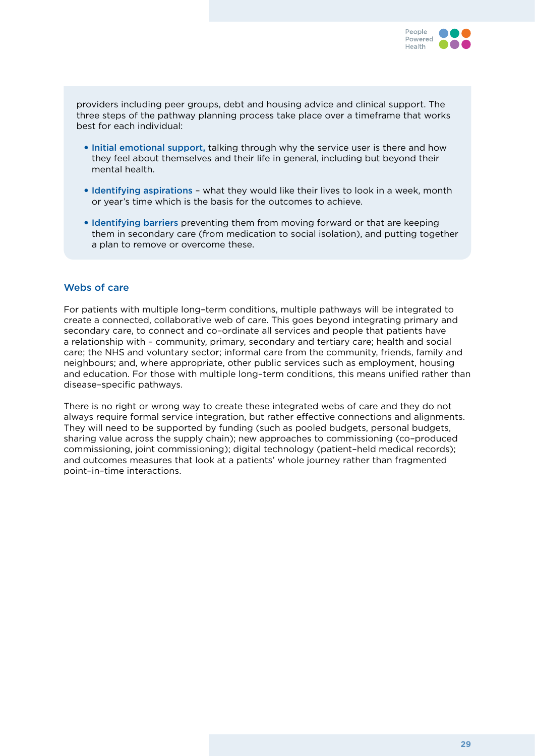

providers including peer groups, debt and housing advice and clinical support. The three steps of the pathway planning process take place over a timeframe that works best for each individual:

- Initial emotional support, talking through why the service user is there and how they feel about themselves and their life in general, including but beyond their mental health.
- Identifying aspirations what they would like their lives to look in a week, month or year's time which is the basis for the outcomes to achieve.
- Identifying barriers preventing them from moving forward or that are keeping them in secondary care (from medication to social isolation), and putting together a plan to remove or overcome these.

#### Webs of care

For patients with multiple long–term conditions, multiple pathways will be integrated to create a connected, collaborative web of care. This goes beyond integrating primary and secondary care, to connect and co–ordinate all services and people that patients have a relationship with – community, primary, secondary and tertiary care; health and social care; the NHS and voluntary sector; informal care from the community, friends, family and neighbours; and, where appropriate, other public services such as employment, housing and education. For those with multiple long–term conditions, this means unified rather than disease–specific pathways.

There is no right or wrong way to create these integrated webs of care and they do not always require formal service integration, but rather effective connections and alignments. They will need to be supported by funding (such as pooled budgets, personal budgets, sharing value across the supply chain); new approaches to commissioning (co–produced commissioning, joint commissioning); digital technology (patient–held medical records); and outcomes measures that look at a patients' whole journey rather than fragmented point–in–time interactions.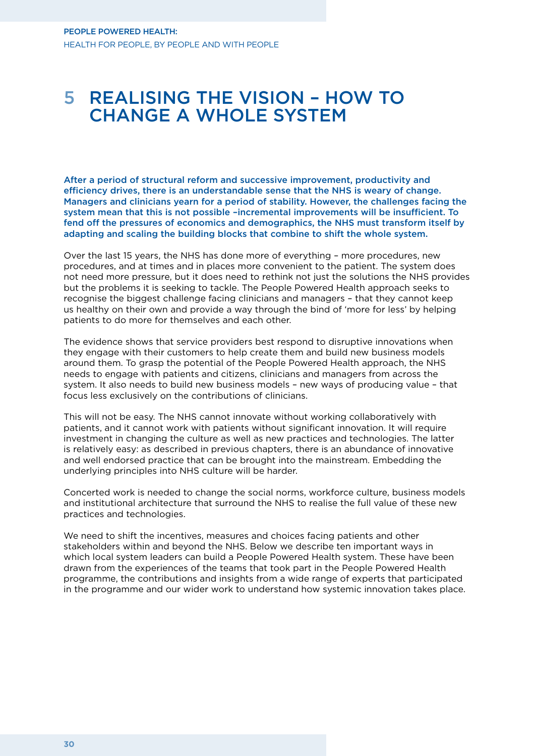### 5 Realising the vision – how to change a whole system

After a period of structural reform and successive improvement, productivity and efficiency drives, there is an understandable sense that the NHS is weary of change. Managers and clinicians yearn for a period of stability. However, the challenges facing the system mean that this is not possible –incremental improvements will be insufficient. To fend off the pressures of economics and demographics, the NHS must transform itself by adapting and scaling the building blocks that combine to shift the whole system.

Over the last 15 years, the NHS has done more of everything – more procedures, new procedures, and at times and in places more convenient to the patient. The system does not need more pressure, but it does need to rethink not just the solutions the NHS provides but the problems it is seeking to tackle. The People Powered Health approach seeks to recognise the biggest challenge facing clinicians and managers – that they cannot keep us healthy on their own and provide a way through the bind of 'more for less' by helping patients to do more for themselves and each other.

The evidence shows that service providers best respond to disruptive innovations when they engage with their customers to help create them and build new business models around them. To grasp the potential of the People Powered Health approach, the NHS needs to engage with patients and citizens, clinicians and managers from across the system. It also needs to build new business models – new ways of producing value – that focus less exclusively on the contributions of clinicians.

This will not be easy. The NHS cannot innovate without working collaboratively with patients, and it cannot work with patients without significant innovation. It will require investment in changing the culture as well as new practices and technologies. The latter is relatively easy: as described in previous chapters, there is an abundance of innovative and well endorsed practice that can be brought into the mainstream. Embedding the underlying principles into NHS culture will be harder.

Concerted work is needed to change the social norms, workforce culture, business models and institutional architecture that surround the NHS to realise the full value of these new practices and technologies.

We need to shift the incentives, measures and choices facing patients and other stakeholders within and beyond the NHS. Below we describe ten important ways in which local system leaders can build a People Powered Health system. These have been drawn from the experiences of the teams that took part in the People Powered Health programme, the contributions and insights from a wide range of experts that participated in the programme and our wider work to understand how systemic innovation takes place.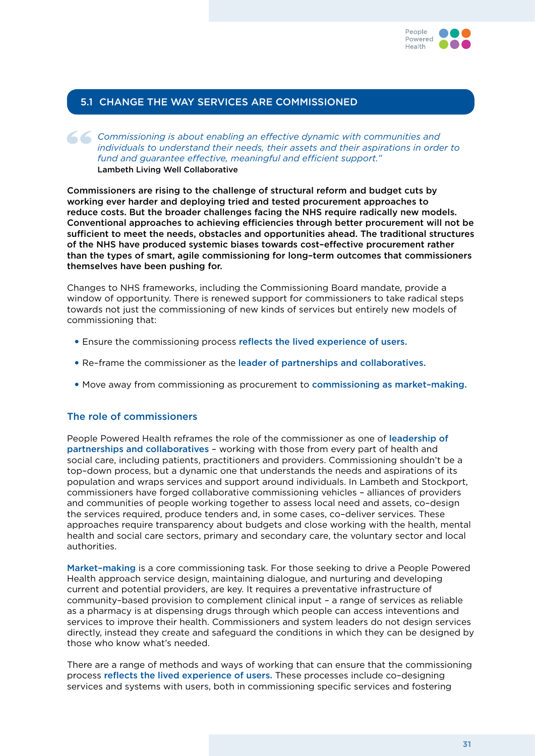

#### 5.1 Change the way services are commissioned

**Commissioning is about enabling an effective dynamic with communities and individuals to understand their needs, their assets and their aspirations in order fund and guarantee effective, meaningful and efficient support."** *individuals to understand their needs, their assets and their aspirations in order to fund and guarantee effective, meaningful and efficient support."* Lambeth Living Well Collaborative

Commissioners are rising to the challenge of structural reform and budget cuts by working ever harder and deploying tried and tested procurement approaches to reduce costs. But the broader challenges facing the NHS require radically new models. Conventional approaches to achieving efficiencies through better procurement will not be sufficient to meet the needs, obstacles and opportunities ahead. The traditional structures of the NHS have produced systemic biases towards cost–effective procurement rather than the types of smart, agile commissioning for long–term outcomes that commissioners themselves have been pushing for.

Changes to NHS frameworks, including the Commissioning Board mandate, provide a window of opportunity. There is renewed support for commissioners to take radical steps towards not just the commissioning of new kinds of services but entirely new models of commissioning that:

- Ensure the commissioning process reflects the lived experience of users.
- Re-frame the commissioner as the leader of partnerships and collaboratives.
- Move away from commissioning as procurement to commissioning as market-making.

#### The role of commissioners

People Powered Health reframes the role of the commissioner as one of leadership of partnerships and collaboratives – working with those from every part of health and social care, including patients, practitioners and providers. Commissioning shouldn't be a top–down process, but a dynamic one that understands the needs and aspirations of its population and wraps services and support around individuals. In Lambeth and Stockport, commissioners have forged collaborative commissioning vehicles – alliances of providers and communities of people working together to assess local need and assets, co–design the services required, produce tenders and, in some cases, co–deliver services. These approaches require transparency about budgets and close working with the health, mental health and social care sectors, primary and secondary care, the voluntary sector and local authorities.

Market–making is a core commissioning task. For those seeking to drive a People Powered Health approach service design, maintaining dialogue, and nurturing and developing current and potential providers, are key. It requires a preventative infrastructure of community–based provision to complement clinical input – a range of services as reliable as a pharmacy is at dispensing drugs through which people can access inteventions and services to improve their health. Commissioners and system leaders do not design services directly, instead they create and safeguard the conditions in which they can be designed by those who know what's needed.

There are a range of methods and ways of working that can ensure that the commissioning process reflects the lived experience of users. These processes include co–designing services and systems with users, both in commissioning specific services and fostering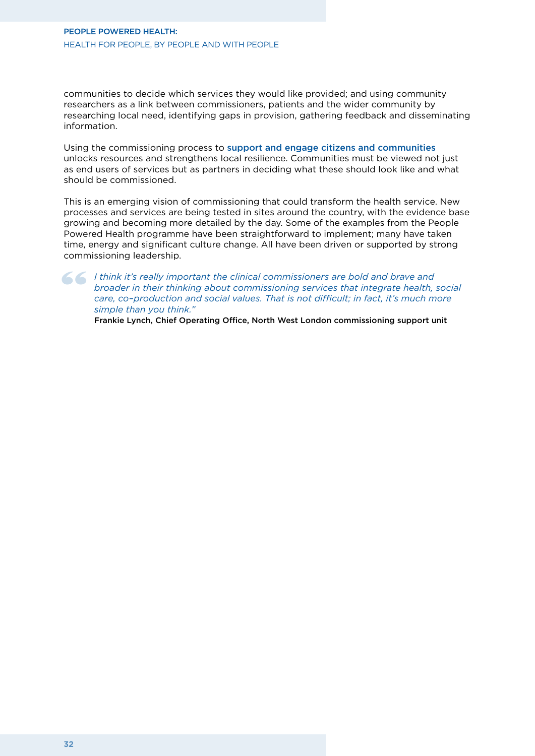communities to decide which services they would like provided; and using community researchers as a link between commissioners, patients and the wider community by researching local need, identifying gaps in provision, gathering feedback and disseminating information.

Using the commissioning process to support and engage citizens and communities unlocks resources and strengthens local resilience. Communities must be viewed not just as end users of services but as partners in deciding what these should look like and what should be commissioned.

This is an emerging vision of commissioning that could transform the health service. New processes and services are being tested in sites around the country, with the evidence base growing and becoming more detailed by the day. Some of the examples from the People Powered Health programme have been straightforward to implement; many have taken time, energy and significant culture change. All have been driven or supported by strong commissioning leadership.

I think it's really important the clinical commissioners are bold and brave and broader in their thinking about commissioning services that integrate health, care, co-production and social values. That is not difficult; in *broader in their thinking about commissioning services that integrate health, social care, co–production and social values. That is not difficult; in fact, it's much more simple than you think."* 

Frankie Lynch, Chief Operating Office, North West London commissioning support unit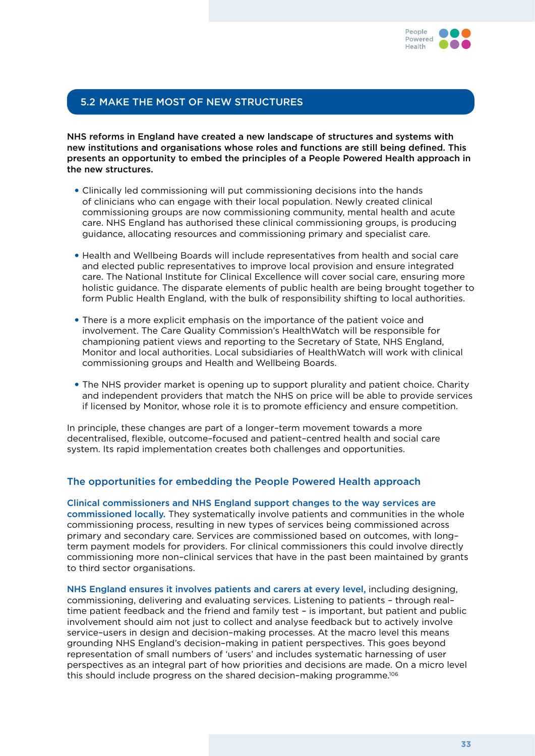

#### 5.2 Make the most of new structures

NHS reforms in England have created a new landscape of structures and systems with new institutions and organisations whose roles and functions are still being defined. This presents an opportunity to embed the principles of a People Powered Health approach in the new structures.

- • Clinically led commissioning will put commissioning decisions into the hands of clinicians who can engage with their local population. Newly created clinical commissioning groups are now commissioning community, mental health and acute care. NHS England has authorised these clinical commissioning groups, is producing guidance, allocating resources and commissioning primary and specialist care.
- • Health and Wellbeing Boards will include representatives from health and social care and elected public representatives to improve local provision and ensure integrated care. The National Institute for Clinical Excellence will cover social care, ensuring more holistic guidance. The disparate elements of public health are being brought together to form Public Health England, with the bulk of responsibility shifting to local authorities.
- There is a more explicit emphasis on the importance of the patient voice and involvement. The Care Quality Commission's HealthWatch will be responsible for championing patient views and reporting to the Secretary of State, NHS England, Monitor and local authorities. Local subsidiaries of HealthWatch will work with clinical commissioning groups and Health and Wellbeing Boards.
- The NHS provider market is opening up to support plurality and patient choice. Charity and independent providers that match the NHS on price will be able to provide services if licensed by Monitor, whose role it is to promote efficiency and ensure competition.

In principle, these changes are part of a longer–term movement towards a more decentralised, flexible, outcome–focused and patient–centred health and social care system. Its rapid implementation creates both challenges and opportunities.

#### The opportunities for embedding the People Powered Health approach

Clinical commissioners and NHS England support changes to the way services are commissioned locally. They systematically involve patients and communities in the whole commissioning process, resulting in new types of services being commissioned across primary and secondary care. Services are commissioned based on outcomes, with long– term payment models for providers. For clinical commissioners this could involve directly commissioning more non–clinical services that have in the past been maintained by grants to third sector organisations.

NHS England ensures it involves patients and carers at every level, including designing, commissioning, delivering and evaluating services. Listening to patients – through real– time patient feedback and the friend and family test – is important, but patient and public involvement should aim not just to collect and analyse feedback but to actively involve service–users in design and decision–making processes. At the macro level this means grounding NHS England's decision–making in patient perspectives. This goes beyond representation of small numbers of 'users' and includes systematic harnessing of user perspectives as an integral part of how priorities and decisions are made. On a micro level this should include progress on the shared decision–making programme.106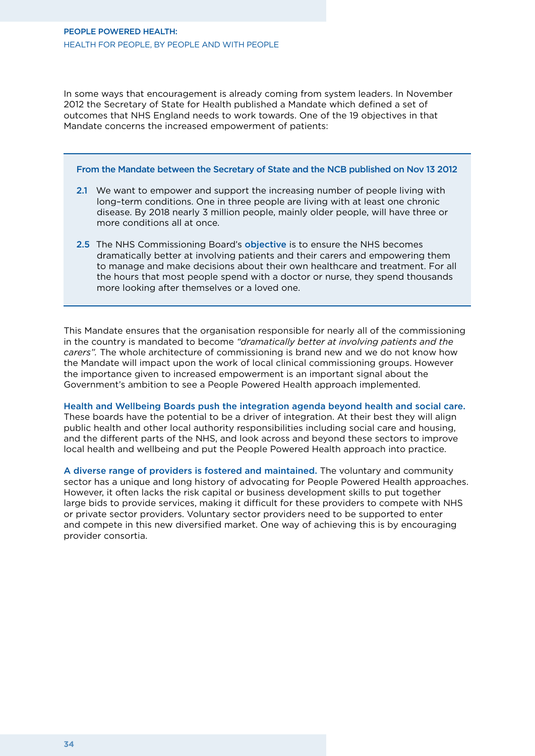In some ways that encouragement is already coming from system leaders. In November 2012 the Secretary of State for Health published a Mandate which defined a set of outcomes that NHS England needs to work towards. One of the 19 objectives in that Mandate concerns the increased empowerment of patients:

#### From the Mandate between the Secretary of State and the NCB published on Nov 13 2012

- 2.1 We want to empower and support the increasing number of people living with long–term conditions. One in three people are living with at least one chronic disease. By 2018 nearly 3 million people, mainly older people, will have three or more conditions all at once.
- 2.5 The NHS Commissioning Board's objective is to ensure the NHS becomes dramatically better at involving patients and their carers and empowering them to manage and make decisions about their own healthcare and treatment. For all the hours that most people spend with a doctor or nurse, they spend thousands more looking after themselves or a loved one.

This Mandate ensures that the organisation responsible for nearly all of the commissioning in the country is mandated to become *"dramatically better at involving patients and the carers".* The whole architecture of commissioning is brand new and we do not know how the Mandate will impact upon the work of local clinical commissioning groups. However the importance given to increased empowerment is an important signal about the Government's ambition to see a People Powered Health approach implemented.

Health and Wellbeing Boards push the integration agenda beyond health and social care. These boards have the potential to be a driver of integration. At their best they will align public health and other local authority responsibilities including social care and housing, and the different parts of the NHS, and look across and beyond these sectors to improve local health and wellbeing and put the People Powered Health approach into practice.

A diverse range of providers is fostered and maintained. The voluntary and community sector has a unique and long history of advocating for People Powered Health approaches. However, it often lacks the risk capital or business development skills to put together large bids to provide services, making it difficult for these providers to compete with NHS or private sector providers. Voluntary sector providers need to be supported to enter and compete in this new diversified market. One way of achieving this is by encouraging provider consortia.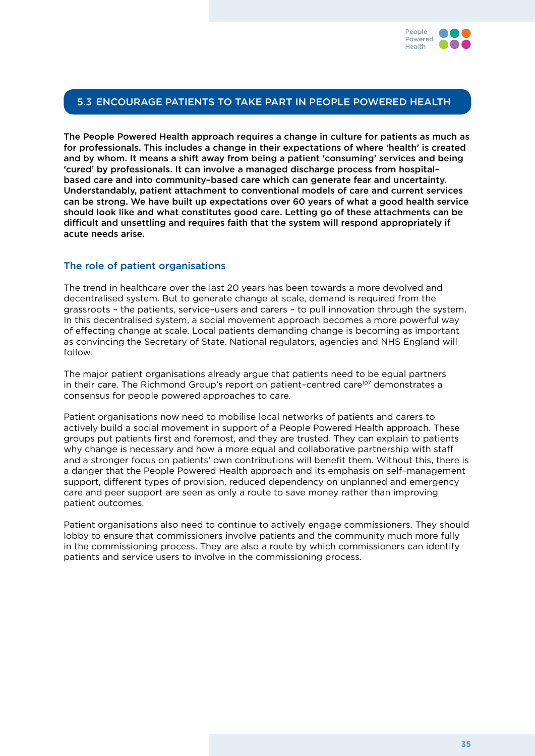

#### 5.3 Encourage patients to take part in People Powered Health

The People Powered Health approach requires a change in culture for patients as much as for professionals. This includes a change in their expectations of where 'health' is created and by whom. It means a shift away from being a patient 'consuming' services and being 'cured' by professionals. It can involve a managed discharge process from hospital– based care and into community–based care which can generate fear and uncertainty. Understandably, patient attachment to conventional models of care and current services can be strong. We have built up expectations over 60 years of what a good health service should look like and what constitutes good care. Letting go of these attachments can be difficult and unsettling and requires faith that the system will respond appropriately if acute needs arise.

#### The role of patient organisations

The trend in healthcare over the last 20 years has been towards a more devolved and decentralised system. But to generate change at scale, demand is required from the grassroots – the patients, service–users and carers – to pull innovation through the system. In this decentralised system, a social movement approach becomes a more powerful way of effecting change at scale. Local patients demanding change is becoming as important as convincing the Secretary of State. National regulators, agencies and NHS England will follow.

The major patient organisations already argue that patients need to be equal partners in their care. The Richmond Group's report on patient-centred care<sup>107</sup> demonstrates a consensus for people powered approaches to care.

Patient organisations now need to mobilise local networks of patients and carers to actively build a social movement in support of a People Powered Health approach. These groups put patients first and foremost, and they are trusted. They can explain to patients why change is necessary and how a more equal and collaborative partnership with staff and a stronger focus on patients' own contributions will benefit them. Without this, there is a danger that the People Powered Health approach and its emphasis on self–management support, different types of provision, reduced dependency on unplanned and emergency care and peer support are seen as only a route to save money rather than improving patient outcomes.

Patient organisations also need to continue to actively engage commissioners. They should lobby to ensure that commissioners involve patients and the community much more fully in the commissioning process. They are also a route by which commissioners can identify patients and service users to involve in the commissioning process.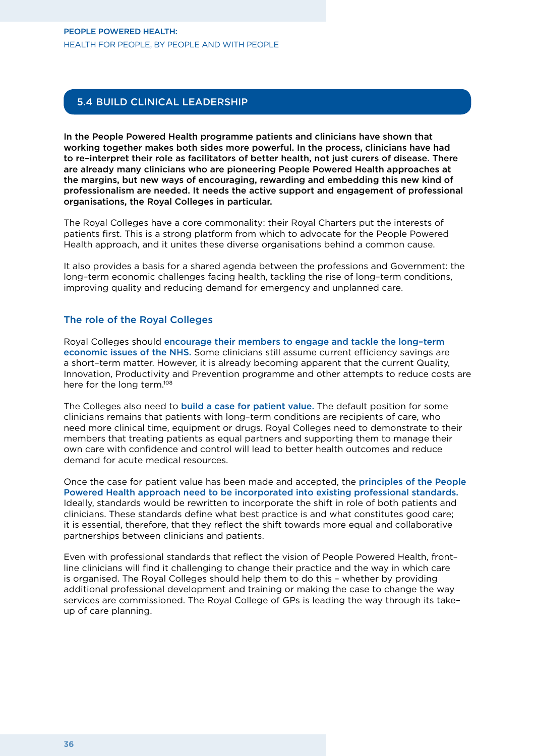#### People Powered Health: Health for people, by people and with people

#### 5.4 Build clinical leadership

In the People Powered Health programme patients and clinicians have shown that working together makes both sides more powerful. In the process, clinicians have had to re–interpret their role as facilitators of better health, not just curers of disease. There are already many clinicians who are pioneering People Powered Health approaches at the margins, but new ways of encouraging, rewarding and embedding this new kind of professionalism are needed. It needs the active support and engagement of professional organisations, the Royal Colleges in particular.

The Royal Colleges have a core commonality: their Royal Charters put the interests of patients first. This is a strong platform from which to advocate for the People Powered Health approach, and it unites these diverse organisations behind a common cause.

It also provides a basis for a shared agenda between the professions and Government: the long–term economic challenges facing health, tackling the rise of long–term conditions, improving quality and reducing demand for emergency and unplanned care.

#### The role of the Royal Colleges

Royal Colleges should encourage their members to engage and tackle the long–term economic issues of the NHS. Some clinicians still assume current efficiency savings are a short–term matter. However, it is already becoming apparent that the current Quality, Innovation, Productivity and Prevention programme and other attempts to reduce costs are here for the long term.<sup>108</sup>

The Colleges also need to build a case for patient value. The default position for some clinicians remains that patients with long–term conditions are recipients of care, who need more clinical time, equipment or drugs. Royal Colleges need to demonstrate to their members that treating patients as equal partners and supporting them to manage their own care with confidence and control will lead to better health outcomes and reduce demand for acute medical resources.

Once the case for patient value has been made and accepted, the principles of the People Powered Health approach need to be incorporated into existing professional standards. Ideally, standards would be rewritten to incorporate the shift in role of both patients and clinicians. These standards define what best practice is and what constitutes good care; it is essential, therefore, that they reflect the shift towards more equal and collaborative partnerships between clinicians and patients.

Even with professional standards that reflect the vision of People Powered Health, front– line clinicians will find it challenging to change their practice and the way in which care is organised. The Royal Colleges should help them to do this – whether by providing additional professional development and training or making the case to change the way services are commissioned. The Royal College of GPs is leading the way through its take– up of care planning.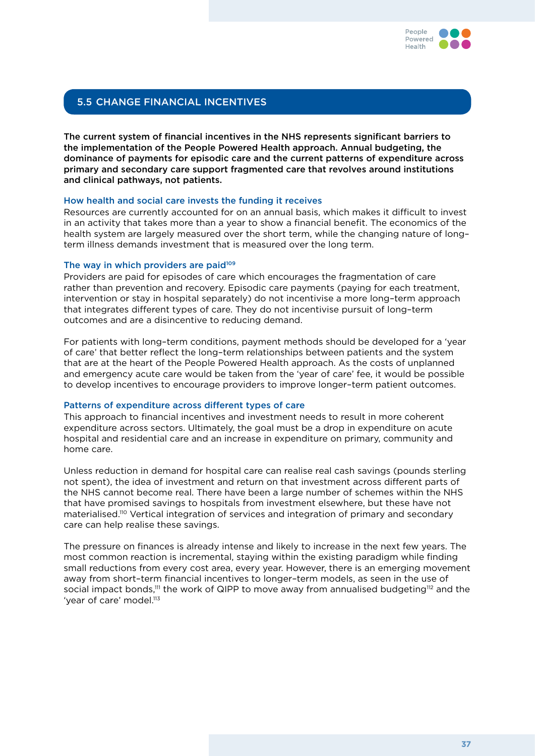

#### 5.5 Change financial incentives

The current system of financial incentives in the NHS represents significant barriers to the implementation of the People Powered Health approach. Annual budgeting, the dominance of payments for episodic care and the current patterns of expenditure across primary and secondary care support fragmented care that revolves around institutions and clinical pathways, not patients.

#### How health and social care invests the funding it receives

Resources are currently accounted for on an annual basis, which makes it difficult to invest in an activity that takes more than a year to show a financial benefit. The economics of the health system are largely measured over the short term, while the changing nature of long– term illness demands investment that is measured over the long term.

#### The way in which providers are paid<sup>109</sup>

Providers are paid for episodes of care which encourages the fragmentation of care rather than prevention and recovery. Episodic care payments (paying for each treatment, intervention or stay in hospital separately) do not incentivise a more long–term approach that integrates different types of care. They do not incentivise pursuit of long–term outcomes and are a disincentive to reducing demand.

For patients with long–term conditions, payment methods should be developed for a 'year of care' that better reflect the long–term relationships between patients and the system that are at the heart of the People Powered Health approach. As the costs of unplanned and emergency acute care would be taken from the 'year of care' fee, it would be possible to develop incentives to encourage providers to improve longer–term patient outcomes.

#### Patterns of expenditure across different types of care

This approach to financial incentives and investment needs to result in more coherent expenditure across sectors. Ultimately, the goal must be a drop in expenditure on acute hospital and residential care and an increase in expenditure on primary, community and home care.

Unless reduction in demand for hospital care can realise real cash savings (pounds sterling not spent), the idea of investment and return on that investment across different parts of the NHS cannot become real. There have been a large number of schemes within the NHS that have promised savings to hospitals from investment elsewhere, but these have not materialised.110 Vertical integration of services and integration of primary and secondary care can help realise these savings.

The pressure on finances is already intense and likely to increase in the next few years. The most common reaction is incremental, staying within the existing paradigm while finding small reductions from every cost area, every year. However, there is an emerging movement away from short–term financial incentives to longer–term models, as seen in the use of social impact bonds.<sup>111</sup> the work of QIPP to move away from annualised budgeting<sup>112</sup> and the 'year of care' model.<sup>113</sup>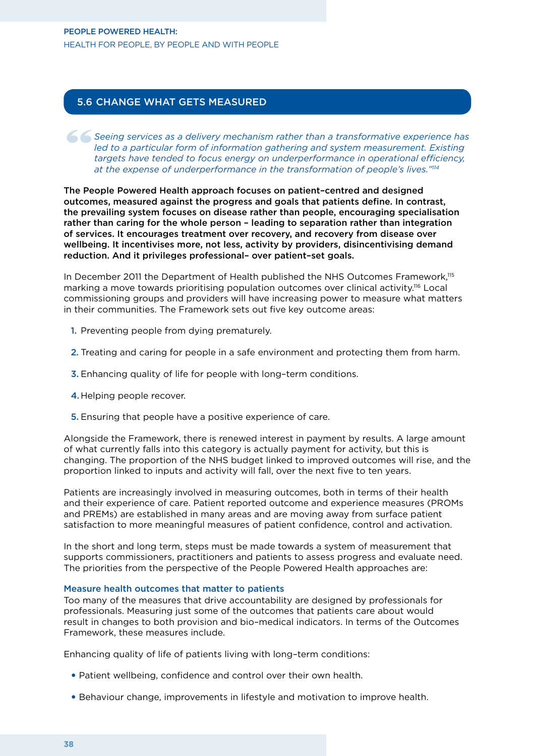#### People Powered Health: Health for people, by people and with people

#### 5.6 Change what gets measured

Seeing services as a delivery mechanism rather than a transformative experience has led to a particular form of information gathering and system measurement. Existing targets have tended to focus energy on underperformance *led to a particular form of information gathering and system measurement. Existing targets have tended to focus energy on underperformance in operational efficiency, at the expense of underperformance in the transformation of people's lives."114*

The People Powered Health approach focuses on patient–centred and designed outcomes, measured against the progress and goals that patients define. In contrast, the prevailing system focuses on disease rather than people, encouraging specialisation rather than caring for the whole person – leading to separation rather than integration of services. It encourages treatment over recovery, and recovery from disease over wellbeing. It incentivises more, not less, activity by providers, disincentivising demand reduction. And it privileges professional– over patient–set goals.

In December 2011 the Department of Health published the NHS Outcomes Framework,<sup>115</sup> marking a move towards prioritising population outcomes over clinical activity.116 Local commissioning groups and providers will have increasing power to measure what matters in their communities. The Framework sets out five key outcome areas:

- 1. Preventing people from dying prematurely.
- 2. Treating and caring for people in a safe environment and protecting them from harm.
- 3. Enhancing quality of life for people with long–term conditions.
- 4.Helping people recover.
- 5. Ensuring that people have a positive experience of care.

Alongside the Framework, there is renewed interest in payment by results. A large amount of what currently falls into this category is actually payment for activity, but this is changing. The proportion of the NHS budget linked to improved outcomes will rise, and the proportion linked to inputs and activity will fall, over the next five to ten years.

Patients are increasingly involved in measuring outcomes, both in terms of their health and their experience of care. Patient reported outcome and experience measures (PROMs and PREMs) are established in many areas and are moving away from surface patient satisfaction to more meaningful measures of patient confidence, control and activation.

In the short and long term, steps must be made towards a system of measurement that supports commissioners, practitioners and patients to assess progress and evaluate need. The priorities from the perspective of the People Powered Health approaches are:

#### Measure health outcomes that matter to patients

Too many of the measures that drive accountability are designed by professionals for professionals. Measuring just some of the outcomes that patients care about would result in changes to both provision and bio–medical indicators. In terms of the Outcomes Framework, these measures include.

Enhancing quality of life of patients living with long–term conditions:

- Patient wellbeing, confidence and control over their own health.
- Behaviour change, improvements in lifestyle and motivation to improve health.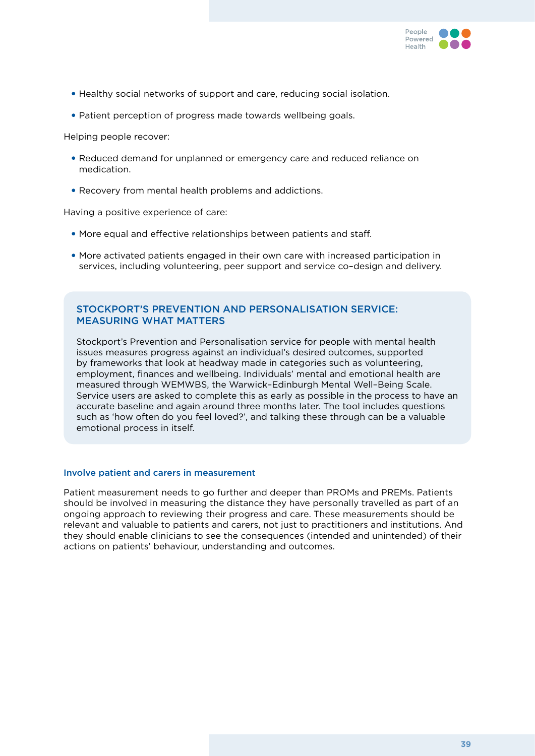

- Healthy social networks of support and care, reducing social isolation.
- Patient perception of progress made towards wellbeing goals.

Helping people recover:

- Reduced demand for unplanned or emergency care and reduced reliance on medication.
- Recovery from mental health problems and addictions.

Having a positive experience of care:

- More equal and effective relationships between patients and staff.
- More activated patients engaged in their own care with increased participation in services, including volunteering, peer support and service co–design and delivery.

#### Stockport's Prevention and Personalisation service: measuring what matters

Stockport's Prevention and Personalisation service for people with mental health issues measures progress against an individual's desired outcomes, supported by frameworks that look at headway made in categories such as volunteering, employment, finances and wellbeing. Individuals' mental and emotional health are measured through WEMWBS, the Warwick–Edinburgh Mental Well–Being Scale. Service users are asked to complete this as early as possible in the process to have an accurate baseline and again around three months later. The tool includes questions such as 'how often do you feel loved?', and talking these through can be a valuable emotional process in itself.

#### Involve patient and carers in measurement

Patient measurement needs to go further and deeper than PROMs and PREMs. Patients should be involved in measuring the distance they have personally travelled as part of an ongoing approach to reviewing their progress and care. These measurements should be relevant and valuable to patients and carers, not just to practitioners and institutions. And they should enable clinicians to see the consequences (intended and unintended) of their actions on patients' behaviour, understanding and outcomes.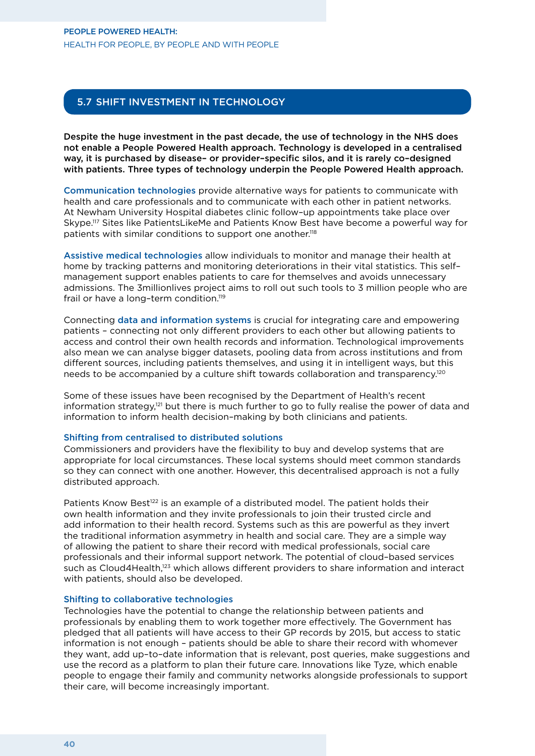#### People Powered Health: Health for people, by people and with people

#### 5.7 Shift investment in technology

Despite the huge investment in the past decade, the use of technology in the NHS does not enable a People Powered Health approach. Technology is developed in a centralised way, it is purchased by disease– or provider–specific silos, and it is rarely co–designed with patients. Three types of technology underpin the People Powered Health approach.

Communication technologies provide alternative ways for patients to communicate with health and care professionals and to communicate with each other in patient networks. At Newham University Hospital diabetes clinic follow–up appointments take place over Skype.117 Sites like PatientsLikeMe and Patients Know Best have become a powerful way for patients with similar conditions to support one another.118

Assistive medical technologies allow individuals to monitor and manage their health at home by tracking patterns and monitoring deteriorations in their vital statistics. This self– management support enables patients to care for themselves and avoids unnecessary admissions. The 3millionlives project aims to roll out such tools to 3 million people who are frail or have a long-term condition.<sup>119</sup>

Connecting data and information systems is crucial for integrating care and empowering patients – connecting not only different providers to each other but allowing patients to access and control their own health records and information. Technological improvements also mean we can analyse bigger datasets, pooling data from across institutions and from different sources, including patients themselves, and using it in intelligent ways, but this needs to be accompanied by a culture shift towards collaboration and transparency.120

Some of these issues have been recognised by the Department of Health's recent information strategy,<sup>121</sup> but there is much further to go to fully realise the power of data and information to inform health decision–making by both clinicians and patients.

#### Shifting from centralised to distributed solutions

Commissioners and providers have the flexibility to buy and develop systems that are appropriate for local circumstances. These local systems should meet common standards so they can connect with one another. However, this decentralised approach is not a fully distributed approach.

Patients Know Best<sup>122</sup> is an example of a distributed model. The patient holds their own health information and they invite professionals to join their trusted circle and add information to their health record. Systems such as this are powerful as they invert the traditional information asymmetry in health and social care. They are a simple way of allowing the patient to share their record with medical professionals, social care professionals and their informal support network. The potential of cloud–based services such as Cloud4Health,<sup>123</sup> which allows different providers to share information and interact with patients, should also be developed.

#### Shifting to collaborative technologies

Technologies have the potential to change the relationship between patients and professionals by enabling them to work together more effectively. The Government has pledged that all patients will have access to their GP records by 2015, but access to static information is not enough – patients should be able to share their record with whomever they want, add up–to–date information that is relevant, post queries, make suggestions and use the record as a platform to plan their future care. Innovations like Tyze, which enable people to engage their family and community networks alongside professionals to support their care, will become increasingly important.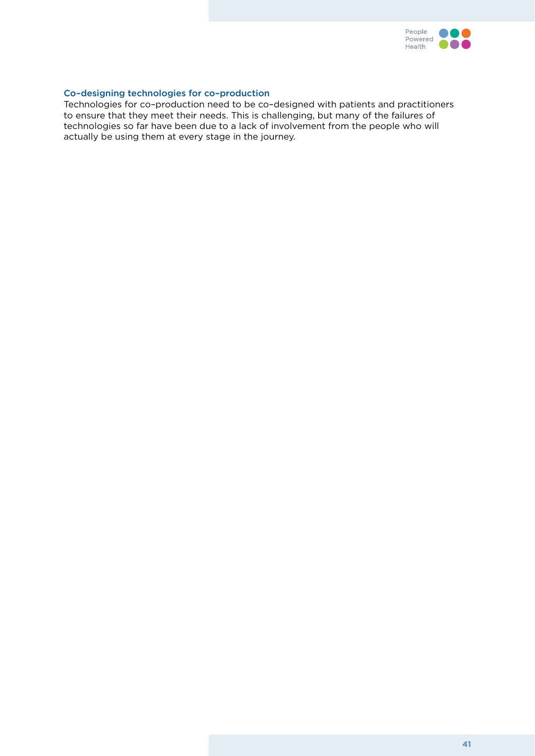

#### Co–designing technologies for co–production

Technologies for co–production need to be co–designed with patients and practitioners to ensure that they meet their needs. This is challenging, but many of the failures of technologies so far have been due to a lack of involvement from the people who will actually be using them at every stage in the journey.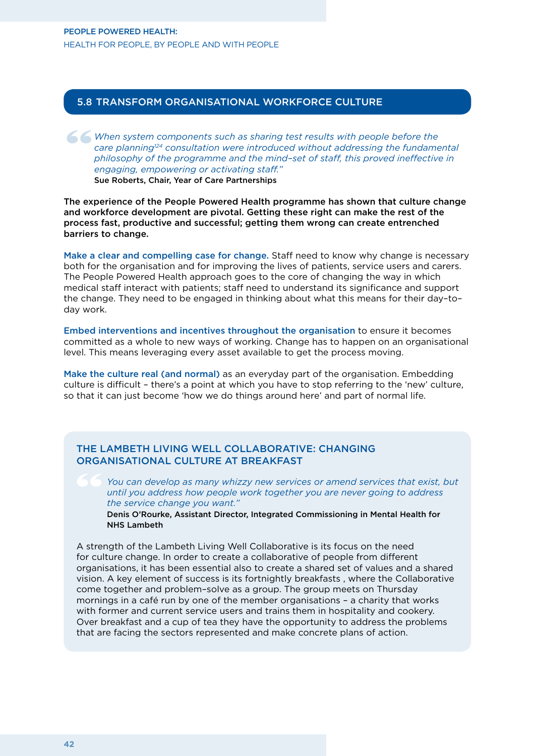#### 5.8 Transform organisational workforce culture

When system components such as sharing test results with people before the care planning<sup>124</sup> consultation were introduced without addressing the fundame philosophy of the programme and the mind-set of staff, this proved i *care planning124 consultation were introduced without addressing the fundamental philosophy of the programme and the mind–set of staff, this proved ineffective in engaging, empowering or activating staff."*

Sue Roberts, Chair, Year of Care Partnerships

The experience of the People Powered Health programme has shown that culture change and workforce development are pivotal. Getting these right can make the rest of the process fast, productive and successful; getting them wrong can create entrenched barriers to change.

Make a clear and compelling case for change. Staff need to know why change is necessary both for the organisation and for improving the lives of patients, service users and carers. The People Powered Health approach goes to the core of changing the way in which medical staff interact with patients; staff need to understand its significance and support the change. They need to be engaged in thinking about what this means for their day–to– day work.

Embed interventions and incentives throughout the organisation to ensure it becomes committed as a whole to new ways of working. Change has to happen on an organisational level. This means leveraging every asset available to get the process moving.

Make the culture real (and normal) as an everyday part of the organisation. Embedding culture is difficult – there's a point at which you have to stop referring to the 'new' culture, so that it can just become 'how we do things around here' and part of normal life.

#### The Lambeth Living Well Collaborative: changing organisational culture at breakfast

*You can develop as many whizzy new services or amend services that exist, but until you address how people work together you are never going to address the service change you want."* 

Denis O'Rourke, Assistant Director, Integrated Commissioning in Mental Health for NHS Lambeth

A strength of the Lambeth Living Well Collaborative is its focus on the need for culture change. In order to create a collaborative of people from different organisations, it has been essential also to create a shared set of values and a shared vision. A key element of success is its fortnightly breakfasts , where the Collaborative come together and problem–solve as a group. The group meets on Thursday mornings in a café run by one of the member organisations – a charity that works with former and current service users and trains them in hospitality and cookery. Over breakfast and a cup of tea they have the opportunity to address the problems that are facing the sectors represented and make concrete plans of action.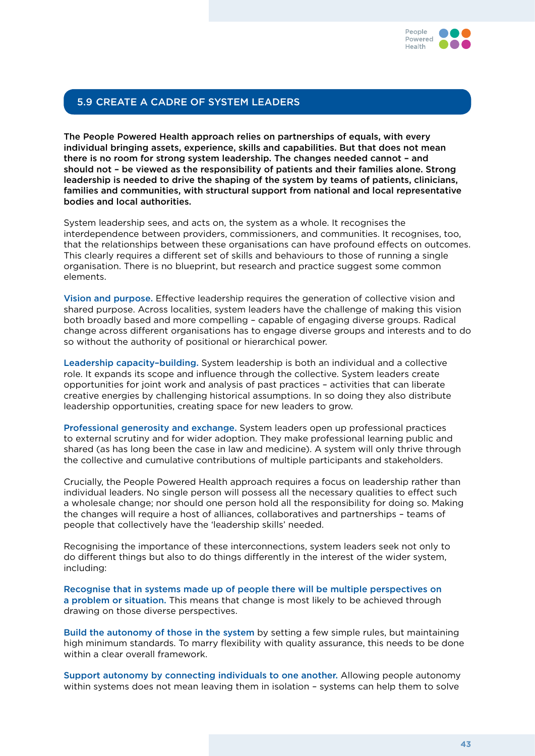

#### 5.9 Create a cadre of system leaders

The People Powered Health approach relies on partnerships of equals, with every individual bringing assets, experience, skills and capabilities. But that does not mean there is no room for strong system leadership. The changes needed cannot – and should not – be viewed as the responsibility of patients and their families alone. Strong leadership is needed to drive the shaping of the system by teams of patients, clinicians, families and communities, with structural support from national and local representative bodies and local authorities.

System leadership sees, and acts on, the system as a whole. It recognises the interdependence between providers, commissioners, and communities. It recognises, too, that the relationships between these organisations can have profound effects on outcomes. This clearly requires a different set of skills and behaviours to those of running a single organisation. There is no blueprint, but research and practice suggest some common elements.

Vision and purpose. Effective leadership requires the generation of collective vision and shared purpose. Across localities, system leaders have the challenge of making this vision both broadly based and more compelling – capable of engaging diverse groups. Radical change across different organisations has to engage diverse groups and interests and to do so without the authority of positional or hierarchical power.

Leadership capacity–building. System leadership is both an individual and a collective role. It expands its scope and influence through the collective. System leaders create opportunities for joint work and analysis of past practices – activities that can liberate creative energies by challenging historical assumptions. In so doing they also distribute leadership opportunities, creating space for new leaders to grow.

Professional generosity and exchange. System leaders open up professional practices to external scrutiny and for wider adoption. They make professional learning public and shared (as has long been the case in law and medicine). A system will only thrive through the collective and cumulative contributions of multiple participants and stakeholders.

Crucially, the People Powered Health approach requires a focus on leadership rather than individual leaders. No single person will possess all the necessary qualities to effect such a wholesale change; nor should one person hold all the responsibility for doing so. Making the changes will require a host of alliances, collaboratives and partnerships – teams of people that collectively have the 'leadership skills' needed.

Recognising the importance of these interconnections, system leaders seek not only to do different things but also to do things differently in the interest of the wider system, including:

Recognise that in systems made up of people there will be multiple perspectives on a problem or situation. This means that change is most likely to be achieved through drawing on those diverse perspectives.

Build the autonomy of those in the system by setting a few simple rules, but maintaining high minimum standards. To marry flexibility with quality assurance, this needs to be done within a clear overall framework.

Support autonomy by connecting individuals to one another. Allowing people autonomy within systems does not mean leaving them in isolation – systems can help them to solve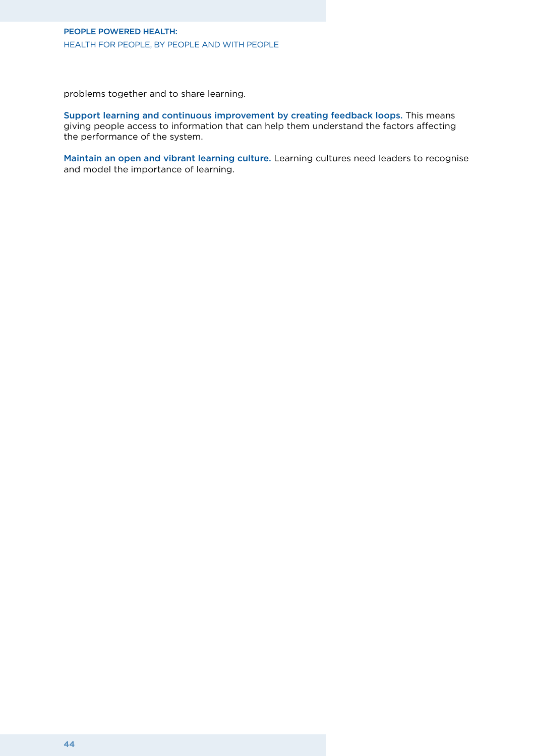#### People Powered Health: Health for people, by people and with people

problems together and to share learning.

Support learning and continuous improvement by creating feedback loops. This means giving people access to information that can help them understand the factors affecting the performance of the system.

Maintain an open and vibrant learning culture. Learning cultures need leaders to recognise and model the importance of learning.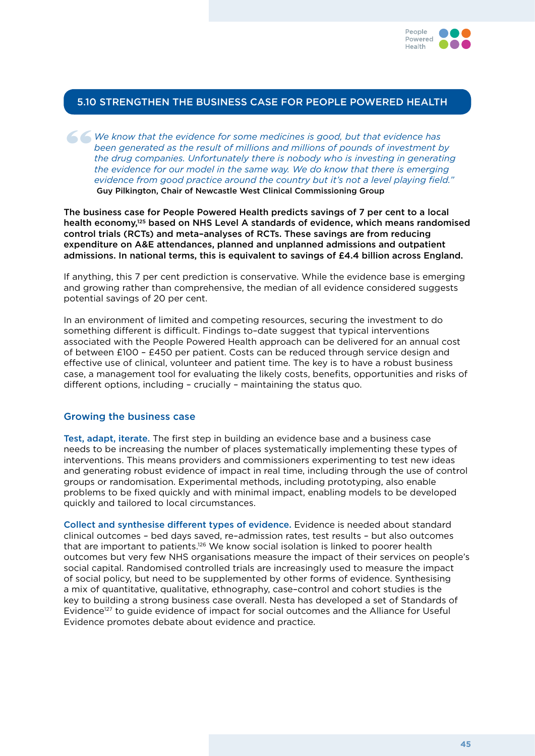

#### 5.10 Strengthen the business case for People Powered Health

We know that the evidence for some medicines is good, but that evidence has been generated as the result of millions and millions of pounds of investment be the drug companies. Unfortunately there is nobody who is investin *been generated as the result of millions and millions of pounds of investment by the drug companies. Unfortunately there is nobody who is investing in generating the evidence for our model in the same way. We do know that there is emerging evidence from good practice around the country but it's not a level playing field."* Guy Pilkington, Chair of Newcastle West Clinical Commissioning Group

The business case for People Powered Health predicts savings of 7 per cent to a local health economy,125 based on NHS Level A standards of evidence, which means randomised control trials (RCTs) and meta–analyses of RCTs. These savings are from reducing expenditure on A&E attendances, planned and unplanned admissions and outpatient admissions. In national terms, this is equivalent to savings of £4.4 billion across England.

If anything, this 7 per cent prediction is conservative. While the evidence base is emerging and growing rather than comprehensive, the median of all evidence considered suggests potential savings of 20 per cent.

In an environment of limited and competing resources, securing the investment to do something different is difficult. Findings to–date suggest that typical interventions associated with the People Powered Health approach can be delivered for an annual cost of between £100 – £450 per patient. Costs can be reduced through service design and effective use of clinical, volunteer and patient time. The key is to have a robust business case, a management tool for evaluating the likely costs, benefits, opportunities and risks of different options, including – crucially – maintaining the status quo.

#### Growing the business case

Test, adapt, iterate. The first step in building an evidence base and a business case needs to be increasing the number of places systematically implementing these types of interventions. This means providers and commissioners experimenting to test new ideas and generating robust evidence of impact in real time, including through the use of control groups or randomisation. Experimental methods, including prototyping, also enable problems to be fixed quickly and with minimal impact, enabling models to be developed quickly and tailored to local circumstances.

Collect and synthesise different types of evidence. Evidence is needed about standard clinical outcomes – bed days saved, re–admission rates, test results – but also outcomes that are important to patients.126 We know social isolation is linked to poorer health outcomes but very few NHS organisations measure the impact of their services on people's social capital. Randomised controlled trials are increasingly used to measure the impact of social policy, but need to be supplemented by other forms of evidence. Synthesising a mix of quantitative, qualitative, ethnography, case–control and cohort studies is the key to building a strong business case overall. Nesta has developed a set of Standards of Evidence<sup>127</sup> to guide evidence of impact for social outcomes and the Alliance for Useful Evidence promotes debate about evidence and practice.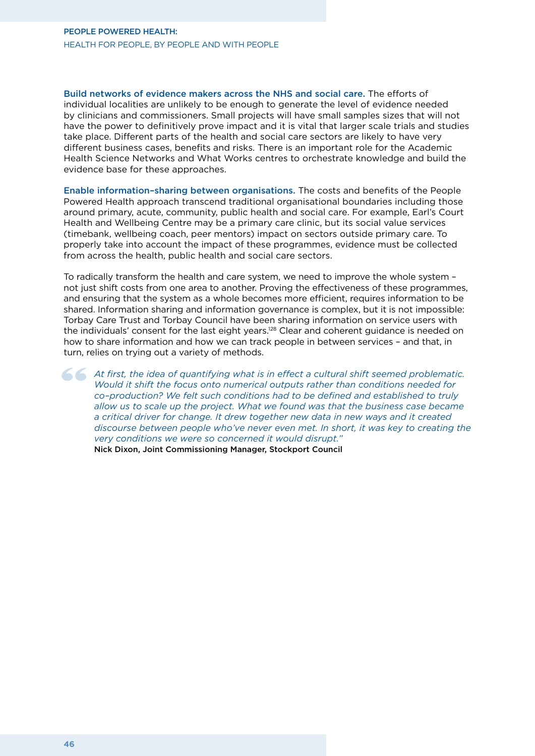#### People Powered Health: Health for people, by people and with people

Build networks of evidence makers across the NHS and social care. The efforts of individual localities are unlikely to be enough to generate the level of evidence needed by clinicians and commissioners. Small projects will have small samples sizes that will not have the power to definitively prove impact and it is vital that larger scale trials and studies take place. Different parts of the health and social care sectors are likely to have very different business cases, benefits and risks. There is an important role for the Academic Health Science Networks and What Works centres to orchestrate knowledge and build the evidence base for these approaches.

Enable information–sharing between organisations. The costs and benefits of the People Powered Health approach transcend traditional organisational boundaries including those around primary, acute, community, public health and social care. For example, Earl's Court Health and Wellbeing Centre may be a primary care clinic, but its social value services (timebank, wellbeing coach, peer mentors) impact on sectors outside primary care. To properly take into account the impact of these programmes, evidence must be collected from across the health, public health and social care sectors.

To radically transform the health and care system, we need to improve the whole system – not just shift costs from one area to another. Proving the effectiveness of these programmes, and ensuring that the system as a whole becomes more efficient, requires information to be shared. Information sharing and information governance is complex, but it is not impossible: Torbay Care Trust and Torbay Council have been sharing information on service users with the individuals' consent for the last eight years.128 Clear and coherent guidance is needed on how to share information and how we can track people in between services – and that, in turn, relies on trying out a variety of methods.

At first, the idea of quantifying what is in effect a cultural shift seemed problematic.<br>
Would it shift the focus onto numerical outputs rather than conditions needed for<br>
co-production? We felt such conditions had to be *Would it shift the focus onto numerical outputs rather than conditions needed for co–production? We felt such conditions had to be defined and established to truly allow us to scale up the project. What we found was that the business case became a critical driver for change. It drew together new data in new ways and it created discourse between people who've never even met. In short, it was key to creating the very conditions we were so concerned it would disrupt."* Nick Dixon, Joint Commissioning Manager, Stockport Council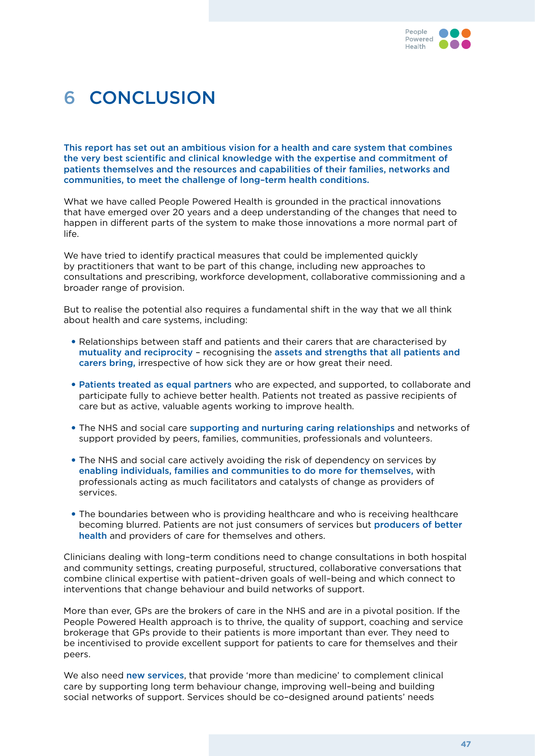

### 6 Conclusion

This report has set out an ambitious vision for a health and care system that combines the very best scientific and clinical knowledge with the expertise and commitment of patients themselves and the resources and capabilities of their families, networks and communities, to meet the challenge of long–term health conditions.

What we have called People Powered Health is grounded in the practical innovations that have emerged over 20 years and a deep understanding of the changes that need to happen in different parts of the system to make those innovations a more normal part of life.

We have tried to identify practical measures that could be implemented quickly by practitioners that want to be part of this change, including new approaches to consultations and prescribing, workforce development, collaborative commissioning and a broader range of provision.

But to realise the potential also requires a fundamental shift in the way that we all think about health and care systems, including:

- Relationships between staff and patients and their carers that are characterised by mutuality and reciprocity – recognising the assets and strengths that all patients and carers bring, irrespective of how sick they are or how great their need.
- Patients treated as equal partners who are expected, and supported, to collaborate and participate fully to achieve better health. Patients not treated as passive recipients of care but as active, valuable agents working to improve health.
- The NHS and social care supporting and nurturing caring relationships and networks of support provided by peers, families, communities, professionals and volunteers.
- The NHS and social care actively avoiding the risk of dependency on services by enabling individuals, families and communities to do more for themselves, with professionals acting as much facilitators and catalysts of change as providers of services.
- The boundaries between who is providing healthcare and who is receiving healthcare becoming blurred. Patients are not just consumers of services but producers of better health and providers of care for themselves and others.

Clinicians dealing with long–term conditions need to change consultations in both hospital and community settings, creating purposeful, structured, collaborative conversations that combine clinical expertise with patient–driven goals of well–being and which connect to interventions that change behaviour and build networks of support.

More than ever, GPs are the brokers of care in the NHS and are in a pivotal position. If the People Powered Health approach is to thrive, the quality of support, coaching and service brokerage that GPs provide to their patients is more important than ever. They need to be incentivised to provide excellent support for patients to care for themselves and their peers.

We also need **new services**, that provide 'more than medicine' to complement clinical care by supporting long term behaviour change, improving well–being and building social networks of support. Services should be co–designed around patients' needs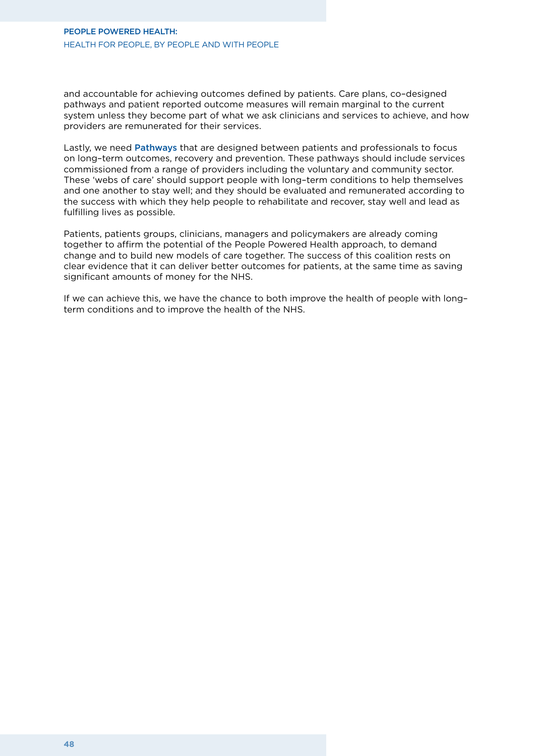and accountable for achieving outcomes defined by patients. Care plans, co–designed pathways and patient reported outcome measures will remain marginal to the current system unless they become part of what we ask clinicians and services to achieve, and how providers are remunerated for their services.

Lastly, we need Pathways that are designed between patients and professionals to focus on long–term outcomes, recovery and prevention. These pathways should include services commissioned from a range of providers including the voluntary and community sector. These 'webs of care' should support people with long–term conditions to help themselves and one another to stay well; and they should be evaluated and remunerated according to the success with which they help people to rehabilitate and recover, stay well and lead as fulfilling lives as possible.

Patients, patients groups, clinicians, managers and policymakers are already coming together to affirm the potential of the People Powered Health approach, to demand change and to build new models of care together. The success of this coalition rests on clear evidence that it can deliver better outcomes for patients, at the same time as saving significant amounts of money for the NHS.

If we can achieve this, we have the chance to both improve the health of people with long– term conditions and to improve the health of the NHS.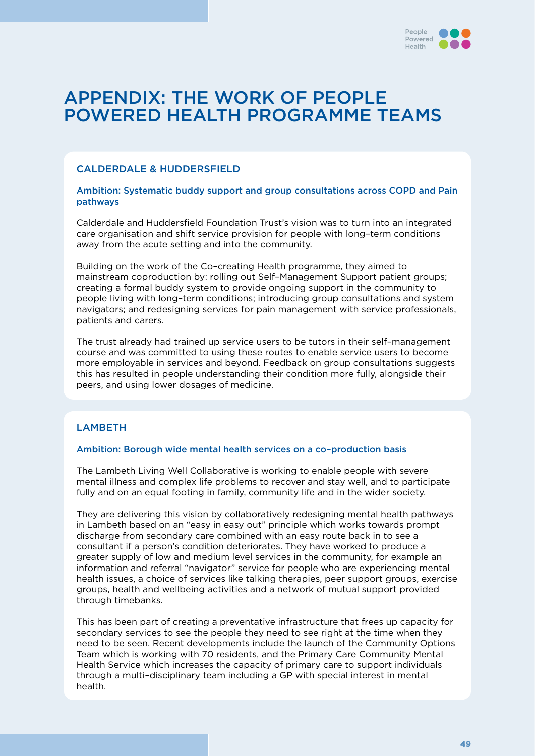

### APPENDIX: The work of People Powered Health programme teams

#### Calderdale & Huddersfield

#### Ambition: Systematic buddy support and group consultations across COPD and Pain pathways

Calderdale and Huddersfield Foundation Trust's vision was to turn into an integrated care organisation and shift service provision for people with long–term conditions away from the acute setting and into the community.

Building on the work of the Co–creating Health programme, they aimed to mainstream coproduction by: rolling out Self–Management Support patient groups; creating a formal buddy system to provide ongoing support in the community to people living with long–term conditions; introducing group consultations and system navigators; and redesigning services for pain management with service professionals, patients and carers.

The trust already had trained up service users to be tutors in their self–management course and was committed to using these routes to enable service users to become more employable in services and beyond. Feedback on group consultations suggests this has resulted in people understanding their condition more fully, alongside their peers, and using lower dosages of medicine.

#### **LAMBETH**

#### Ambition: Borough wide mental health services on a co–production basis

The Lambeth Living Well Collaborative is working to enable people with severe mental illness and complex life problems to recover and stay well, and to participate fully and on an equal footing in family, community life and in the wider society.

They are delivering this vision by collaboratively redesigning mental health pathways in Lambeth based on an "easy in easy out" principle which works towards prompt discharge from secondary care combined with an easy route back in to see a consultant if a person's condition deteriorates. They have worked to produce a greater supply of low and medium level services in the community, for example an information and referral "navigator" service for people who are experiencing mental health issues, a choice of services like talking therapies, peer support groups, exercise groups, health and wellbeing activities and a network of mutual support provided through timebanks.

This has been part of creating a preventative infrastructure that frees up capacity for secondary services to see the people they need to see right at the time when they need to be seen. Recent developments include the launch of the Community Options Team which is working with 70 residents, and the Primary Care Community Mental Health Service which increases the capacity of primary care to support individuals through a multi–disciplinary team including a GP with special interest in mental health.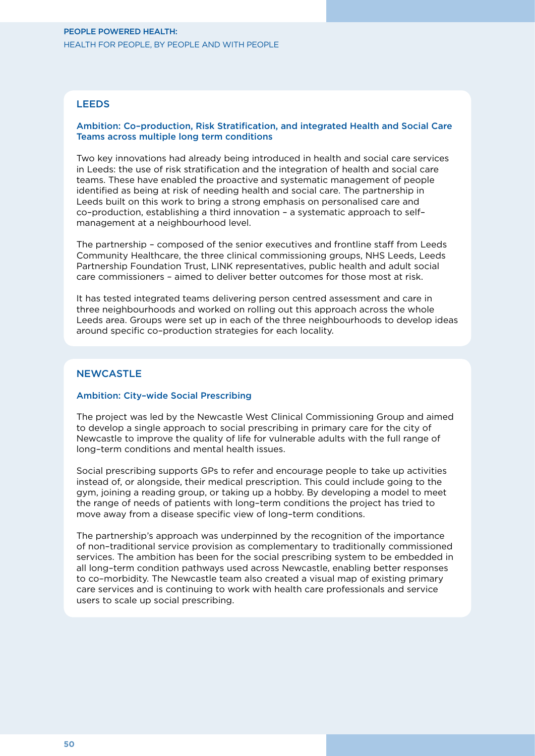#### **LEEDS**

#### Ambition: Co–production, Risk Stratification, and integrated Health and Social Care Teams across multiple long term conditions

Two key innovations had already being introduced in health and social care services in Leeds: the use of risk stratification and the integration of health and social care teams. These have enabled the proactive and systematic management of people identified as being at risk of needing health and social care. The partnership in Leeds built on this work to bring a strong emphasis on personalised care and co–production, establishing a third innovation – a systematic approach to self– management at a neighbourhood level.

The partnership – composed of the senior executives and frontline staff from Leeds Community Healthcare, the three clinical commissioning groups, NHS Leeds, Leeds Partnership Foundation Trust, LINK representatives, public health and adult social care commissioners – aimed to deliver better outcomes for those most at risk.

It has tested integrated teams delivering person centred assessment and care in three neighbourhoods and worked on rolling out this approach across the whole Leeds area. Groups were set up in each of the three neighbourhoods to develop ideas around specific co–production strategies for each locality.

#### **NEWCASTLE**

#### Ambition: City–wide Social Prescribing

The project was led by the Newcastle West Clinical Commissioning Group and aimed to develop a single approach to social prescribing in primary care for the city of Newcastle to improve the quality of life for vulnerable adults with the full range of long–term conditions and mental health issues.

Social prescribing supports GPs to refer and encourage people to take up activities instead of, or alongside, their medical prescription. This could include going to the gym, joining a reading group, or taking up a hobby. By developing a model to meet the range of needs of patients with long–term conditions the project has tried to move away from a disease specific view of long–term conditions.

The partnership's approach was underpinned by the recognition of the importance of non–traditional service provision as complementary to traditionally commissioned services. The ambition has been for the social prescribing system to be embedded in all long–term condition pathways used across Newcastle, enabling better responses to co–morbidity. The Newcastle team also created a visual map of existing primary care services and is continuing to work with health care professionals and service users to scale up social prescribing.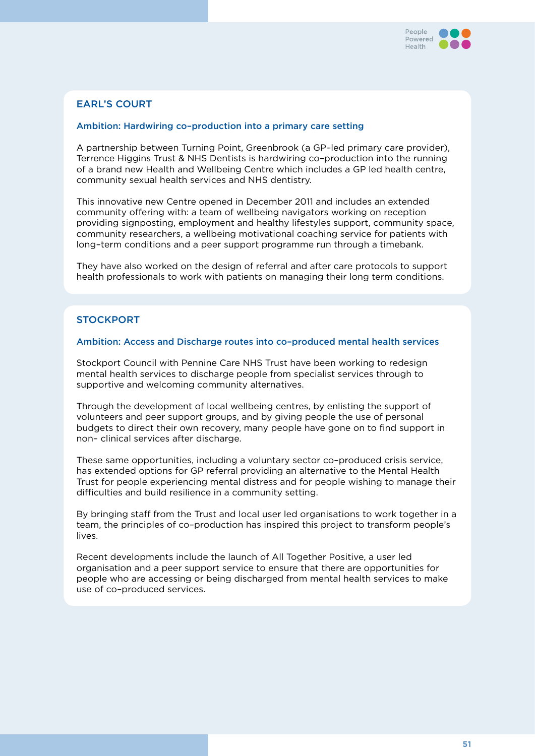

#### Earl's Court

#### Ambition: Hardwiring co–production into a primary care setting

A partnership between Turning Point, Greenbrook (a GP–led primary care provider), Terrence Higgins Trust & NHS Dentists is hardwiring co–production into the running of a brand new Health and Wellbeing Centre which includes a GP led health centre, community sexual health services and NHS dentistry.

This innovative new Centre opened in December 2011 and includes an extended community offering with: a team of wellbeing navigators working on reception providing signposting, employment and healthy lifestyles support, community space, community researchers, a wellbeing motivational coaching service for patients with long–term conditions and a peer support programme run through a timebank.

They have also worked on the design of referral and after care protocols to support health professionals to work with patients on managing their long term conditions.

#### **STOCKPORT**

#### Ambition: Access and Discharge routes into co–produced mental health services

Stockport Council with Pennine Care NHS Trust have been working to redesign mental health services to discharge people from specialist services through to supportive and welcoming community alternatives.

Through the development of local wellbeing centres, by enlisting the support of volunteers and peer support groups, and by giving people the use of personal budgets to direct their own recovery, many people have gone on to find support in non– clinical services after discharge.

These same opportunities, including a voluntary sector co–produced crisis service, has extended options for GP referral providing an alternative to the Mental Health Trust for people experiencing mental distress and for people wishing to manage their difficulties and build resilience in a community setting.

By bringing staff from the Trust and local user led organisations to work together in a team, the principles of co–production has inspired this project to transform people's lives.

Recent developments include the launch of All Together Positive, a user led organisation and a peer support service to ensure that there are opportunities for people who are accessing or being discharged from mental health services to make use of co–produced services.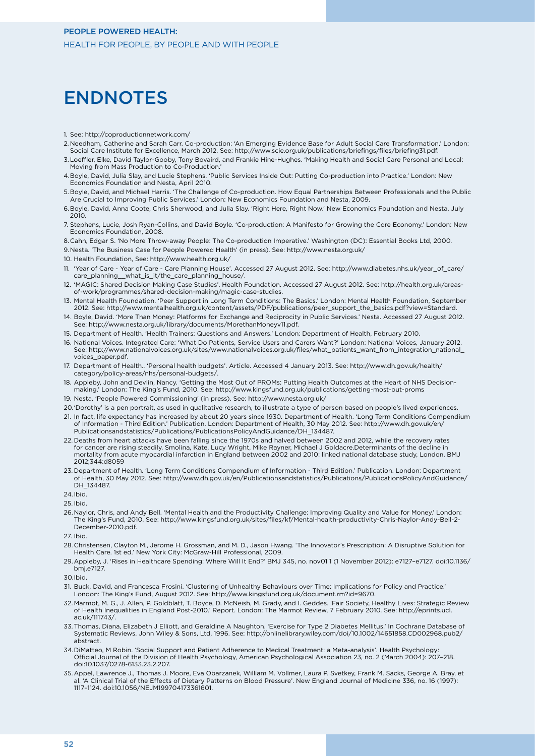### **ENDNOTES**

- 1. See: http://coproductionnetwork.com/
- 2. Needham, Catherine and Sarah Carr. Co-production: 'An Emerging Evidence Base for Adult Social Care Transformation.' London: Social Care Institute for Excellence, March 2012. See: http://www.scie.org.uk/publications/briefings/files/briefing31.pdf.
- 3.Loeffler, Elke, David Taylor-Gooby, Tony Bovaird, and Frankie Hine-Hughes. 'Making Health and Social Care Personal and Local: Moving from Mass Production to Co-Production.'
- 4.Boyle, David, Julia Slay, and Lucie Stephens. 'Public Services Inside Out: Putting Co-production into Practice.' London: New Economics Foundation and Nesta, April 2010.
- 5. Boyle, David, and Michael Harris. 'The Challenge of Co-production. How Equal Partnerships Between Professionals and the Public Are Crucial to Improving Public Services.' London: New Economics Foundation and Nesta, 2009.
- 6.Boyle, David, Anna Coote, Chris Sherwood, and Julia Slay. 'Right Here, Right Now.' New Economics Foundation and Nesta, July 2010.
- 7. Stephens, Lucie, Josh Ryan-Collins, and David Boyle. 'Co-production: A Manifesto for Growing the Core Economy.' London: New Economics Foundation, 2008.
- 8.Cahn, Edgar S. 'No More Throw-away People: The Co-production Imperative.' Washington (DC): Essential Books Ltd, 2000.
- 9.Nesta. 'The Business Case for People Powered Health' (in press). See: http://www.nesta.org.uk/
- 10. Health Foundation, See: http://www.health.org.uk/
- 11. 'Year of Care Year of Care Care Planning House'. Accessed 27 August 2012. See: http://www.diabetes.nhs.uk/year\_of\_care/ care\_planning\_\_what\_is\_it/the\_care\_planning\_house/.
- 12. 'MAGIC: Shared Decision Making Case Studies'. Health Foundation. Accessed 27 August 2012. See: http://health.org.uk/areasof-work/programmes/shared-decision-making/magic-case-studies.
- 13. Mental Health Foundation. 'Peer Support in Long Term Conditions: The Basics.' London: Mental Health Foundation, September 2012. See: http://www.mentalhealth.org.uk/content/assets/PDF/publications/peer\_support\_the\_basics.pdf?view=Standard.
- 14. Boyle, David. 'More Than Money: Platforms for Exchange and Reciprocity in Public Services.' Nesta. Accessed 27 August 2012. See: http://www.nesta.org.uk/library/documents/MorethanMoneyv11.pdf.
- 15. Department of Health. 'Health Trainers: Questions and Answers.' London: Department of Health, February 2010.
- 16. National Voices. Integrated Care: 'What Do Patients, Service Users and Carers Want?' London: National Voices, January 2012. See: http://www.nationalvoices.org.uk/sites/www.nationalvoices.org.uk/files/what\_patients\_want\_from\_integration\_national\_ voices\_paper.pdf.
- 17. Department of Health.. 'Personal health budgets'. Article. Accessed 4 January 2013. See: http://www.dh.gov.uk/health/ category/policy-areas/nhs/personal-budgets/.
- 18. Appleby, John and Devlin, Nancy. 'Getting the Most Out of PROMs: Putting Health Outcomes at the Heart of NHS Decisionmaking.' London: The King's Fund, 2010. See: http://www.kingsfund.org.uk/publications/getting-most-out-proms
- 19. Nesta. 'People Powered Commissioning' (in press). See: http://www.nesta.org.uk/
- 20.'Dorothy' is a pen portrait, as used in qualitative research, to illustrate a type of person based on people's lived experiences.
- 21. In fact, life expectancy has increased by about 20 years since 1930. Department of Health. 'Long Term Conditions Compendium of Information - Third Edition.' Publication. London: Department of Health, 30 May 2012. See: http://www.dh.gov.uk/en/ Publicationsandstatistics/Publications/PublicationsPolicyAndGuidance/DH\_134487.
- 22. Deaths from heart attacks have been falling since the 1970s and halved between 2002 and 2012, while the recovery rates for cancer are rising steadily. Smolina, Kate, Lucy Wright, Mike Rayner, Michael J Goldacre.Determinants of the decline in mortality from acute myocardial infarction in England between 2002 and 2010: linked national database study, London, BMJ 2012;344:d8059
- 23. Department of Health. 'Long Term Conditions Compendium of Information Third Edition.' Publication. London: Department of Health, 30 May 2012. See: http://www.dh.gov.uk/en/Publicationsandstatistics/Publications/PublicationsPolicyAndGuidance/ DH\_134487.
- 24.Ibid.
- 25. Ibid.
- 26.Naylor, Chris, and Andy Bell. 'Mental Health and the Productivity Challenge: Improving Quality and Value for Money.' London: The King's Fund, 2010. See: http://www.kingsfund.org.uk/sites/files/kf/Mental-health-productivity-Chris-Naylor-Andy-Bell-2- December-2010.pdf.
- 27. Ibid.
- 28.Christensen, Clayton M., Jerome H. Grossman, and M. D., Jason Hwang. 'The Innovator's Prescription: A Disruptive Solution for Health Care. 1st ed.' New York City: McGraw-Hill Professional, 2009.
- 29.Appleby, J. 'Rises in Healthcare Spending: Where Will It End?' BMJ 345, no. nov01 1 (1 November 2012): e7127–e7127. doi:10.1136/ bmj.e7127.

- 31. Buck, David, and Francesca Frosini. 'Clustering of Unhealthy Behaviours over Time: Implications for Policy and Practice.' London: The King's Fund, August 2012. See: http://www.kingsfund.org.uk/document.rm?id=9670.
- 32. Marmot, M. G., J. Allen, P. Goldblatt, T. Boyce, D. McNeish, M. Grady, and I. Geddes. 'Fair Society, Healthy Lives: Strategic Review of Health Inequalities in England Post-2010.' Report. London: The Marmot Review, 7 February 2010. See: http://eprints.ucl. ac.uk/111743/.
- 33.Thomas, Diana, Elizabeth J Elliott, and Geraldine A Naughton. 'Exercise for Type 2 Diabetes Mellitus.' In Cochrane Database of Systematic Reviews. John Wiley & Sons, Ltd, 1996. See: http://onlinelibrary.wiley.com/doi/10.1002/14651858.CD002968.pub2/ abstract.
- 34.DiMatteo, M Robin. 'Social Support and Patient Adherence to Medical Treatment: a Meta-analysis'. Health Psychology: Official Journal of the Division of Health Psychology, American Psychological Association 23, no. 2 (March 2004): 207–218. doi:10.1037/0278-6133.23.2.207.
- 35.Appel, Lawrence J., Thomas J. Moore, Eva Obarzanek, William M. Vollmer, Laura P. Svetkey, Frank M. Sacks, George A. Bray, et al. 'A Clinical Trial of the Effects of Dietary Patterns on Blood Pressure'. New England Journal of Medicine 336, no. 16 (1997): 1117–1124. doi:10.1056/NEJM199704173361601.

<sup>30.</sup>Ibid.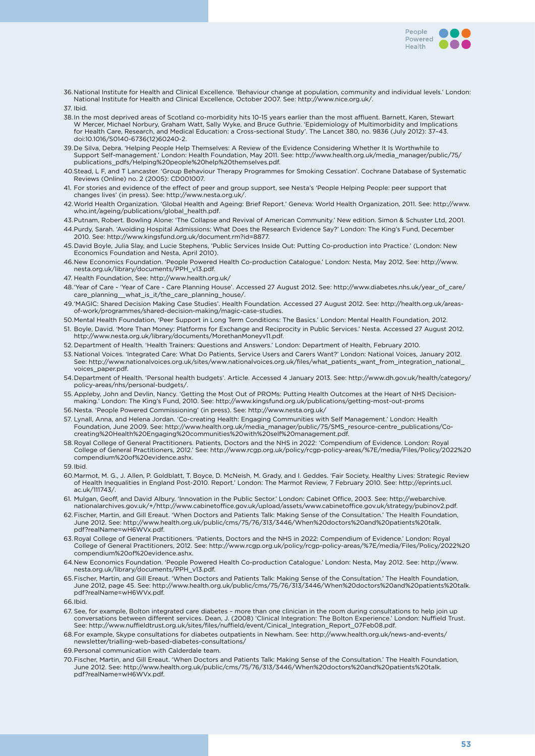

36.National Institute for Health and Clinical Excellence. 'Behaviour change at population, community and individual levels.' London: National Institute for Health and Clinical Excellence, October 2007. See: http://www.nice.org.uk/.

37. Ibid.

- 38.In the most deprived areas of Scotland co-morbidity hits 10-15 years earlier than the most affluent. Barnett, Karen, Stewart W Mercer, Michael Norbury, Graham Watt, Sally Wyke, and Bruce Guthrie. 'Epidemiology of Multimorbidity and Implications for Health Care, Research, and Medical Education: a Cross-sectional Study'. The Lancet 380, no. 9836 (July 2012): 37–43. doi:10.1016/S0140-6736(12)60240-2.
- 39.De Silva, Debra. 'Helping People Help Themselves: A Review of the Evidence Considering Whether It Is Worthwhile to Support Self-management.' London: Health Foundation, May 2011. See: http://www.health.org.uk/media\_manager/public/75/ publications\_pdfs/Helping%20people%20help%20themselves.pdf.
- 40.Stead, L F, and T Lancaster. 'Group Behaviour Therapy Programmes for Smoking Cessation'. Cochrane Database of Systematic Reviews (Online) no. 2 (2005): CD001007.
- 41. For stories and evidence of the effect of peer and group support, see Nesta's 'People Helping People: peer support that changes lives' (in press). See: http://www.nesta.org.uk/.
- 42.World Health Organization. 'Global Health and Ageing: Brief Report.' Geneva: World Health Organization, 2011. See: http://www. who.int/ageing/publications/global\_health.pdf.
- 43.Putnam, Robert. Bowling Alone: 'The Collapse and Revival of American Community.' New edition. Simon & Schuster Ltd, 2001. 44.Purdy, Sarah. 'Avoiding Hospital Admissions: What Does the Research Evidence Say?' London: The King's Fund, December
- 2010. See: http://www.kingsfund.org.uk/document.rm?id=8877.
- 45.David Boyle, Julia Slay, and Lucie Stephens, 'Public Services Inside Out: Putting Co-production into Practice.' (London: New Economics Foundation and Nesta, April 2010).
- 46.New Economics Foundation. 'People Powered Health Co-production Catalogue.' London: Nesta, May 2012. See: http://www. nesta.org.uk/library/documents/PPH\_v13.pdf.
- 47. Health Foundation, See: http://www.health.org.uk/
- 48.'Year of Care 'Year of Care Care Planning House'. Accessed 27 August 2012. See: http://www.diabetes.nhs.uk/year\_of\_care/ care\_planning\_\_what\_is\_it/the\_care\_planning\_house/.
- 49.'MAGIC: Shared Decision Making Case Studies'. Health Foundation. Accessed 27 August 2012. See: http://health.org.uk/areasof-work/programmes/shared-decision-making/magic-case-studies.
- 50.Mental Health Foundation, 'Peer Support in Long Term Conditions: The Basics.' London: Mental Health Foundation, 2012.
- 51. Boyle, David. 'More Than Money: Platforms for Exchange and Reciprocity in Public Services.' Nesta. Accessed 27 August 2012. http://www.nesta.org.uk/library/documents/MorethanMoneyv11.pdf.
- 52. Department of Health. 'Health Trainers: Questions and Answers.' London: Department of Health, February 2010.
- 53.National Voices. 'Integrated Care: What Do Patients, Service Users and Carers Want?' London: National Voices, January 2012. See: http://www.nationalvoices.org.uk/sites/www.nationalvoices.org.uk/files/what\_patients\_want\_from\_integration\_national\_ voices\_paper.pdf.
- 54.Department of Health. 'Personal health budgets'. Article. Accessed 4 January 2013. See: http://www.dh.gov.uk/health/category/ policy-areas/nhs/personal-budgets/.
- 55.Appleby, John and Devlin, Nancy. 'Getting the Most Out of PROMs: Putting Health Outcomes at the Heart of NHS Decisionmaking.' London: The King's Fund, 2010. See: http://www.kingsfund.org.uk/publications/getting-most-out-proms
- 56.Nesta. 'People Powered Commissioning' (in press). See: http://www.nesta.org.uk/
- 57. Lynall, Anna, and Helena Jordan. 'Co-creating Health: Engaging Communities with Self Management.' London: Health Foundation, June 2009. See: http://www.health.org.uk/media\_manager/public/75/SMS\_resource-centre\_publications/Cocreating%20Health%20Engaging%20communities%20with%20self%20management.pdf.
- 58.Royal College of General Practitioners. Patients, Doctors and the NHS in 2022: 'Compendium of Evidence. London: Royal College of General Practitioners, 2012.' See: http://www.rcgp.org.uk/policy/rcgp-policy-areas/%7E/media/Files/Policy/2022%20 compendium%20of%20evidence.ashx.
- 59.Ibid.
- 60.Marmot, M. G., J. Allen, P. Goldblatt, T. Boyce, D. McNeish, M. Grady, and I. Geddes. 'Fair Society, Healthy Lives: Strategic Review of Health Inequalities in England Post-2010. Report.' London: The Marmot Review, 7 February 2010. See: http://eprints.ucl. ac.uk/111743/.
- 61. Mulgan, Geoff, and David Albury. 'Innovation in the Public Sector.' London: Cabinet Office, 2003. See: http://webarchive. nationalarchives.gov.uk/+/http://www.cabinetoffice.gov.uk/upload/assets/www.cabinetoffice.gov.uk/strategy/pubinov2.pdf.
- 62.Fischer, Martin, and Gill Ereaut. 'When Doctors and Patients Talk: Making Sense of the Consultation.' The Health Foundation, June 2012. See: http://www.health.org.uk/public/cms/75/76/313/3446/When%20doctors%20and%20patients%20talk. pdf?realName=wH6WVx.pdf.
- 63.Royal College of General Practitioners. 'Patients, Doctors and the NHS in 2022: Compendium of Evidence.' London: Royal College of General Practitioners, 2012. See: http://www.rcgp.org.uk/policy/rcgp-policy-areas/%7E/media/Files/Policy/2022%20 compendium%20of%20evidence.ashx.
- 64.New Economics Foundation. 'People Powered Health Co-production Catalogue.' London: Nesta, May 2012. See: http://www. nesta.org.uk/library/documents/PPH\_v13.pdf.
- 65.Fischer, Martin, and Gill Ereaut. 'When Doctors and Patients Talk: Making Sense of the Consultation.' The Health Foundation, June 2012, page 45. See: http://www.health.org.uk/public/cms/75/76/313/3446/When%20doctors%20and%20patients%20talk. pdf?realName=wH6WVx.pdf.

66.Ibid.

- 67. See, for example, Bolton integrated care diabetes more than one clinician in the room during consultations to help join up conversations between different services. Dean, J. (2008) 'Clinical Integration: The Bolton Experience.' London: Nuffield Trust. See: http://www.nuffieldtrust.org.uk/sites/files/nuffield/event/Cinical\_Integration\_Report\_07Feb08.pdf.
- 68.For example, Skype consultations for diabetes outpatients in Newham. See: http://www.health.org.uk/news-and-events/ newsletter/trialling-web-based-diabetes-consultations/
- 69.Personal communication with Calderdale team.
- 70.Fischer, Martin, and Gill Ereaut. 'When Doctors and Patients Talk: Making Sense of the Consultation.' The Health Foundation, June 2012. See: http://www.health.org.uk/public/cms/75/76/313/3446/When%20doctors%20and%20patients%20talk. pdf?realName=wH6WVx.pdf.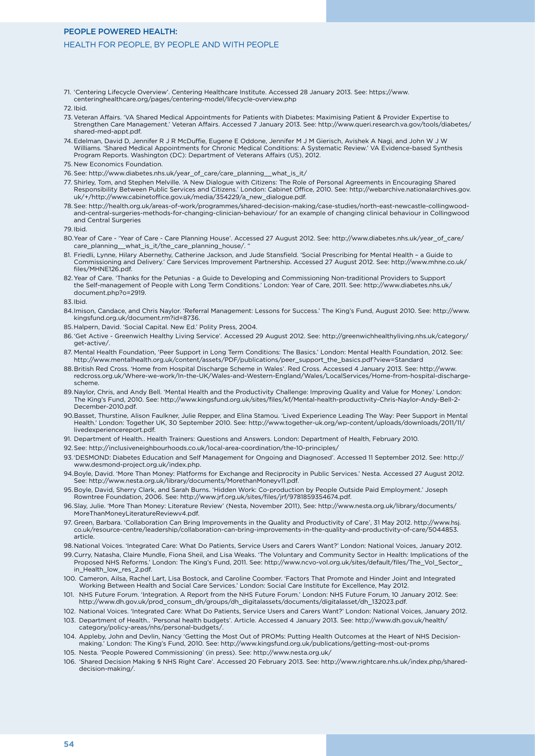#### People Powered Health:

#### Health for people, by people and with people

71. 'Centering Lifecycle Overview'. Centering Healthcare Institute. Accessed 28 January 2013. See: https://www. centeringhealthcare.org/pages/centering-model/lifecycle-overview.php

72. Ibid.

- 73. Veteran Affairs. 'VA Shared Medical Appointments for Patients with Diabetes: Maximising Patient & Provider Expertise to Strengthen Care Management.' Veteran Affairs. Accessed 7 January 2013. See: http://www.queri.research.va.gov/tools/diabetes/ shared-med-appt.pdf.
- 74. Edelman, David D, Jennifer R J R McDuffie, Eugene E Oddone, Jennifer M J M Gierisch, Avishek A Nagi, and John W J W Williams. 'Shared Medical Appointments for Chronic Medical Conditions: A Systematic Review.' VA Evidence-based Synthesis Program Reports. Washington (DC): Department of Veterans Affairs (US), 2012.
- 75. New Economics Foundation.
- 76.See: http://www.diabetes.nhs.uk/year\_of\_care/care\_planning\_\_what\_is\_it/
- 77. Shirley, Tom, and Stephen Melville. 'A New Dialogue with Citizens: The Role of Personal Agreements in Encouraging Shared Responsibility Between Public Services and Citizens.' London: Cabinet Office, 2010. See: http://webarchive.nationalarchives.gov. uk/+/http://www.cabinetoffice.gov.uk/media/354229/a\_new\_dialogue.pdf.
- 78.See: http://health.org.uk/areas-of-work/programmes/shared-decision-making/case-studies/north-east-newcastle-collingwoodand-central-surgeries-methods-for-changing-clinician-behaviour/ for an example of changing clinical behaviour in Collingwood and Central Surgeries

79. Ibid.

- 80.Year of Care 'Year of Care Care Planning House'. Accessed 27 August 2012. See: http://www.diabetes.nhs.uk/year\_of\_care/ care\_planning\_\_what\_is\_it/the\_care\_planning\_house/.
- 81. Friedli, Lynne, Hilary Abernethy, Catherine Jackson, and Jude Stansfield. 'Social Prescribing for Mental Health a Guide to Commissioning and Delivery.' Care Services Improvement Partnership. Accessed 27 August 2012. See: http://www.mhne.co.uk/ files/MHNE126.pdf.
- 82. Year of Care. 'Thanks for the Petunias a Guide to Developing and Commissioning Non-traditional Providers to Support the Self-management of People with Long Term Conditions.' London: Year of Care, 2011. See: http://www.diabetes.nhs.uk/ document.php?o=2919.
- 83.Ibid.
- 84.Imison, Candace, and Chris Naylor. 'Referral Management: Lessons for Success.' The King's Fund, August 2010. See: http://www. kingsfund.org.uk/document.rm?id=8736.
- 85.Halpern, David. 'Social Capital. New Ed.' Polity Press, 2004.
- 86.'Get Active Greenwich Healthy Living Service'. Accessed 29 August 2012. See: http://greenwichhealthyliving.nhs.uk/category/ get-active/.
- 87. Mental Health Foundation, 'Peer Support in Long Term Conditions: The Basics.' London: Mental Health Foundation, 2012. See: http://www.mentalhealth.org.uk/content/assets/PDF/publications/peer\_support\_the\_basics.pdf?view=Standard
- 88.British Red Cross. 'Home from Hospital Discharge Scheme in Wales'. Red Cross. Accessed 4 January 2013. See: http://www. redcross.org.uk/Where-we-work/In-the-UK/Wales-and-Western-England/Wales/LocalServices/Home-from-hospital-dischargescheme.
- 89.Naylor, Chris, and Andy Bell. 'Mental Health and the Productivity Challenge: Improving Quality and Value for Money.' London: The King's Fund, 2010. See: http://www.kingsfund.org.uk/sites/files/kf/Mental-health-productivity-Chris-Naylor-Andy-Bell-2- December-2010.pdf.
- 90.Basset, Thurstine, Alison Faulkner, Julie Repper, and Elina Stamou. 'Lived Experience Leading The Way: Peer Support in Mental Health.' London: Together UK, 30 September 2010. See: http://www.together-uk.org/wp-content/uploads/downloads/2011/11/ livedexperiencereport.pdf.
- 91. Department of Health.. Health Trainers: Questions and Answers. London: Department of Health, February 2010.
- 92.See: http://inclusiveneighbourhoods.co.uk/local-area-coordination/the-10-principles/
- 93. 'DESMOND: Diabetes Education and Self Management for Ongoing and Diagnosed'. Accessed 11 September 2012. See: http:// www.desmond-project.org.uk/index.php.
- 94.Boyle, David. 'More Than Money: Platforms for Exchange and Reciprocity in Public Services.' Nesta. Accessed 27 August 2012. See: http://www.nesta.org.uk/library/documents/MorethanMoneyv11.pdf.
- 95.Boyle, David, Sherry Clark, and Sarah Burns. 'Hidden Work: Co-production by People Outside Paid Employment.' Joseph Rowntree Foundation, 2006. See: http://www.jrf.org.uk/sites/files/jrf/9781859354674.pdf.
- 96.Slay, Julie. 'More Than Money: Literature Review' (Nesta, November 2011), See: http://www.nesta.org.uk/library/documents/ MoreThanMoneyLiteratureReviewv4.pdf.
- 97. Green, Barbara. 'Collaboration Can Bring Improvements in the Quality and Productivity of Care', 31 May 2012. http://www.hsj. co.uk/resource-centre/leadership/collaboration-can-bring-improvements-in-the-quality-and-productivity-of-care/5044853. article.
- 98.National Voices. 'Integrated Care: What Do Patients, Service Users and Carers Want?' London: National Voices, January 2012.
- 99.Curry, Natasha, Claire Mundle, Fiona Sheil, and Lisa Weaks. 'The Voluntary and Community Sector in Health: Implications of the Proposed NHS Reforms.' London: The King's Fund, 2011. See: http://www.ncvo-vol.org.uk/sites/default/files/The\_Vol\_Sector\_ in\_Health\_low\_res\_2.pdf.
- 100. Cameron, Ailsa, Rachel Lart, Lisa Bostock, and Caroline Coomber. 'Factors That Promote and Hinder Joint and Integrated Working Between Health and Social Care Services.' London: Social Care Institute for Excellence, May 2012.
- 101. NHS Future Forum. 'Integration. A Report from the NHS Future Forum.' London: NHS Future Forum, 10 January 2012. See: http://www.dh.gov.uk/prod\_consum\_dh/groups/dh\_digitalassets/documents/digitalasset/dh\_132023.pdf.
- 102. National Voices. 'Integrated Care: What Do Patients, Service Users and Carers Want?' London: National Voices, January 2012. 103. Department of Health.. 'Personal health budgets'. Article. Accessed 4 January 2013. See: http://www.dh.gov.uk/health/ category/policy-areas/nhs/personal-budgets/.
- 104. Appleby, John and Devlin, Nancy 'Getting the Most Out of PROMs: Putting Health Outcomes at the Heart of NHS Decisionmaking.' London: The King's Fund, 2010. See: http://www.kingsfund.org.uk/publications/getting-most-out-proms
- 105. Nesta. 'People Powered Commissioning' (in press). See: http://www.nesta.org.uk/
- 106. 'Shared Decision Making § NHS Right Care'. Accessed 20 February 2013. See: http://www.rightcare.nhs.uk/index.php/shareddecision-making/.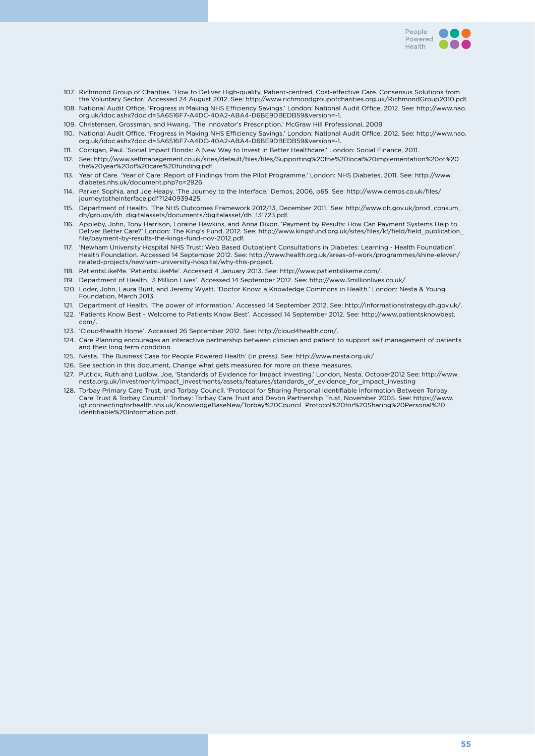

- 107. Richmond Group of Charities. 'How to Deliver High-quality, Patient-centred, Cost-effective Care. Consensus Solutions from the Voluntary Sector.' Accessed 24 August 2012. See: http://www.richmondgroupofcharities.org.uk/RichmondGroup2010.pdf. 108. National Audit Office. 'Progress in Making NHS Efficiency Savings.' London: National Audit Office, 2012. See: http://www.nao.
- org.uk/idoc.ashx?docId=5A6516F7-A4DC-40A2-ABA4-D6BE9DBEDB59&version=-1.
- 109. Christensen, Grossman, and Hwang, 'The Innovator's Prescription.' McGraw Hill Professional, 2009
- 110. National Audit Office. 'Progress in Making NHS Efficiency Savings.' London: National Audit Office, 2012. See: http://www.nao. org.uk/idoc.ashx?docId=5A6516F7-A4DC-40A2-ABA4-D6BE9DBEDB59&version=-1.
- 111. Corrigan, Paul. 'Social Impact Bonds: A New Way to Invest in Better Healthcare.' London: Social Finance, 2011.
- 112. See: http://www.selfmanagement.co.uk/sites/default/files/files/Supporting%20the%20local%20implementation%20of%20 the%20year%20of%20care%20funding.pdf
- 113. Year of Care. 'Year of Care: Report of Findings from the Pilot Programme.' London: NHS Diabetes, 2011. See: http://www. diabetes.nhs.uk/document.php?o=2926.
- 114. Parker, Sophia, and Joe Heapy. 'The Journey to the Interface.' Demos, 2006, p65. See: http://www.demos.co.uk/files/ journeytotheinterface.pdf?1240939425.
- 115. Department of Health. 'The NHS Outcomes Framework 2012/13, December 2011.' See: http://www.dh.gov.uk/prod\_consum\_ dh/groups/dh\_digitalassets/documents/digitalasset/dh\_131723.pdf.
- 116. Appleby, John, Tony Harrison, Loraine Hawkins, and Anna Dixon. 'Payment by Results: How Can Payment Systems Help to Deliver Better Care?' London: The King's Fund, 2012. See: http://www.kingsfund.org.uk/sites/files/kf/field/field\_publication\_ file/payment-by-results-the-kings-fund-nov-2012.pdf.
- 117. 'Newham University Hospital NHS Trust: Web Based Outpatient Consultations in Diabetes: Learning Health Foundation'. Health Foundation. Accessed 14 September 2012. See: http://www.health.org.uk/areas-of-work/programmes/shine-eleven/ related-projects/newham-university-hospital/why-this-project.
- 118. PatientsLikeMe. 'PatientsLikeMe'. Accessed 4 January 2013. See: http://www.patientslikeme.com/.
- 119. Department of Health. '3 Million Lives'. Accessed 14 September 2012. See: http://www.3millionlives.co.uk/.
- 120. Loder, John, Laura Bunt, and Jeremy Wyatt. 'Doctor Know: a Knowledge Commons in Health.' London: Nesta & Young Foundation, March 2013.
- 121. Department of Health. 'The power of information.' Accessed 14 September 2012. See: http://informationstrategy.dh.gov.uk/.
- 122. 'Patients Know Best Welcome to Patients Know Best'. Accessed 14 September 2012. See: http://www.patientsknowbest. com/.
- 123. 'Cloud4health Home'. Accessed 26 September 2012. See: http://cloud4health.com/.
- 124. Care Planning encourages an interactive partnership between clinician and patient to support self management of patients and their long term condition.
- 125. Nesta. 'The Business Case for People Powered Health' (in press). See: http://www.nesta.org.uk/
- 126. See section in this document, Change what gets measured for more on these measures.
- 127. Puttick, Ruth and Ludlow, Joe, 'Standards of Evidence for Impact Investing.' London, Nesta, October2012 See: http://www. nesta.org.uk/investment/impact\_investments/assets/features/standards\_of\_evidence\_for\_impact\_investing
- 128. Torbay Primary Care Trust, and Torbay Council. 'Protocol for Sharing Personal Identifiable Information Between Torbay Care Trust & Torbay Council.' Torbay: Torbay Care Trust and Devon Partnership Trust, November 2005. See: https://www. igt.connectingforhealth.nhs.uk/KnowledgeBaseNew/Torbay%20Council\_Protocol%20for%20Sharing%20Personal%20 Identifiable%20Information.pdf.